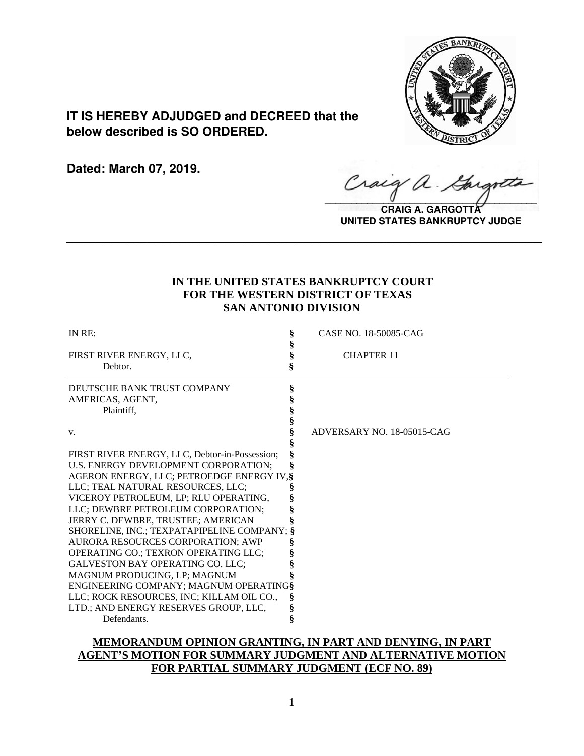

# **IT IS HEREBY ADJUDGED and DECREED that the below described is SO ORDERED.**

**Dated: March 07, 2019.**

Craig a.

**CRAIG A. GARGOTT UNITED STATES BANKRUPTCY JUDGE**

# **IN THE UNITED STATES BANKRUPTCY COURT FOR THE WESTERN DISTRICT OF TEXAS SAN ANTONIO DIVISION**

**\_\_\_\_\_\_\_\_\_\_\_\_\_\_\_\_\_\_\_\_\_\_\_\_\_\_\_\_\_\_\_\_\_\_\_\_\_\_\_\_\_\_\_\_\_\_\_\_\_\_\_\_\_\_\_\_\_\_\_\_\_\_\_\_**

| IN RE:                                         | CASE NO. 18-50085-CAG      |
|------------------------------------------------|----------------------------|
|                                                |                            |
| FIRST RIVER ENERGY, LLC,                       | <b>CHAPTER 11</b>          |
| Debtor.                                        |                            |
| DEUTSCHE BANK TRUST COMPANY                    |                            |
| AMERICAS, AGENT,                               |                            |
| Plaintiff,                                     |                            |
|                                                |                            |
| V.                                             | ADVERSARY NO. 18-05015-CAG |
|                                                |                            |
| FIRST RIVER ENERGY, LLC, Debtor-in-Possession; |                            |
| U.S. ENERGY DEVELOPMENT CORPORATION;           |                            |
| AGERON ENERGY, LLC; PETROEDGE ENERGY IV, §     |                            |
| LLC; TEAL NATURAL RESOURCES, LLC;              |                            |
| VICEROY PETROLEUM, LP; RLU OPERATING,          |                            |
| LLC; DEWBRE PETROLEUM CORPORATION;             |                            |
| JERRY C. DEWBRE, TRUSTEE; AMERICAN             |                            |
| SHORELINE, INC.; TEXPATAPIPELINE COMPANY; §    |                            |
| AURORA RESOURCES CORPORATION; AWP              |                            |
| OPERATING CO.; TEXRON OPERATING LLC;           |                            |
| <b>GALVESTON BAY OPERATING CO. LLC;</b>        |                            |
| MAGNUM PRODUCING, LP; MAGNUM                   |                            |
| ENGINEERING COMPANY; MAGNUM OPERATING§         |                            |
| LLC; ROCK RESOURCES, INC; KILLAM OIL CO.,      |                            |
| LTD.; AND ENERGY RESERVES GROUP, LLC,          |                            |
| Defendants.                                    |                            |

# **MEMORANDUM OPINION GRANTING, IN PART AND DENYING, IN PART AGENT'S MOTION FOR SUMMARY JUDGMENT AND ALTERNATIVE MOTION FOR PARTIAL SUMMARY JUDGMENT (ECF NO. 89)**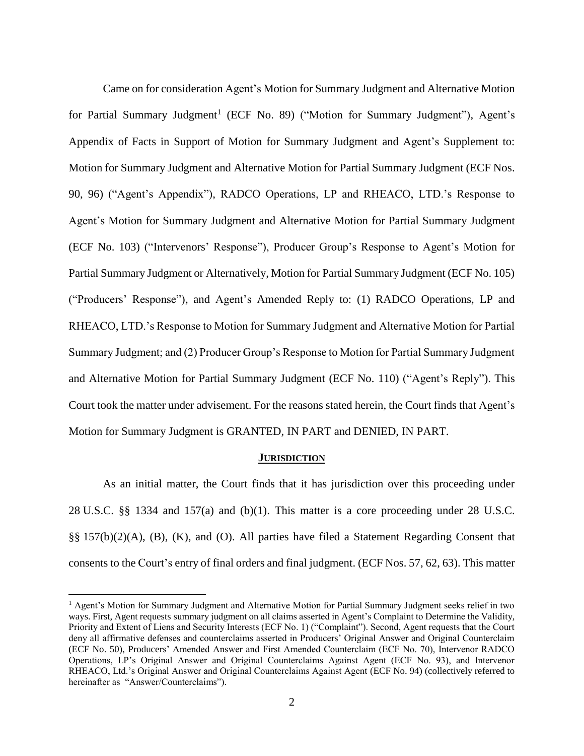Came on for consideration Agent's Motion for Summary Judgment and Alternative Motion for Partial Summary Judgment<sup>1</sup> (ECF No. 89) ("Motion for Summary Judgment"), Agent's Appendix of Facts in Support of Motion for Summary Judgment and Agent's Supplement to: Motion for Summary Judgment and Alternative Motion for Partial Summary Judgment (ECF Nos. 90, 96) ("Agent's Appendix"), RADCO Operations, LP and RHEACO, LTD.'s Response to Agent's Motion for Summary Judgment and Alternative Motion for Partial Summary Judgment (ECF No. 103) ("Intervenors' Response"), Producer Group's Response to Agent's Motion for Partial Summary Judgment or Alternatively, Motion for Partial Summary Judgment (ECF No. 105) ("Producers' Response"), and Agent's Amended Reply to: (1) RADCO Operations, LP and RHEACO, LTD.'s Response to Motion for Summary Judgment and Alternative Motion for Partial Summary Judgment; and (2) Producer Group's Response to Motion for Partial Summary Judgment and Alternative Motion for Partial Summary Judgment (ECF No. 110) ("Agent's Reply"). This Court took the matter under advisement. For the reasons stated herein, the Court finds that Agent's Motion for Summary Judgment is GRANTED, IN PART and DENIED, IN PART.

### **JURISDICTION**

As an initial matter, the Court finds that it has jurisdiction over this proceeding under 28 U.S.C. §§ 1334 and 157(a) and (b)(1). This matter is a core proceeding under 28 U.S.C.  $\S$ § 157(b)(2)(A), (B), (K), and (O). All parties have filed a Statement Regarding Consent that consents to the Court's entry of final orders and final judgment. (ECF Nos. 57, 62, 63). This matter

<sup>&</sup>lt;sup>1</sup> Agent's Motion for Summary Judgment and Alternative Motion for Partial Summary Judgment seeks relief in two ways. First, Agent requests summary judgment on all claims asserted in Agent's Complaint to Determine the Validity, Priority and Extent of Liens and Security Interests (ECF No. 1) ("Complaint"). Second, Agent requests that the Court deny all affirmative defenses and counterclaims asserted in Producers' Original Answer and Original Counterclaim (ECF No. 50), Producers' Amended Answer and First Amended Counterclaim (ECF No. 70), Intervenor RADCO Operations, LP's Original Answer and Original Counterclaims Against Agent (ECF No. 93), and Intervenor RHEACO, Ltd.'s Original Answer and Original Counterclaims Against Agent (ECF No. 94) (collectively referred to hereinafter as "Answer/Counterclaims").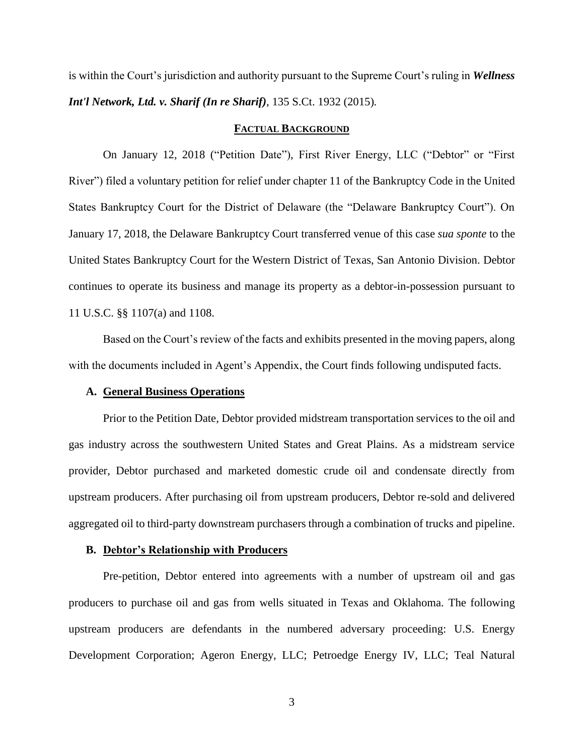is within the Court's jurisdiction and authority pursuant to the Supreme Court's ruling in *Wellness Int'l Network, Ltd. v. Sharif (In re Sharif)*, 135 S.Ct. 1932 (2015)*.*

### **FACTUAL BACKGROUND**

On January 12, 2018 ("Petition Date"), First River Energy, LLC ("Debtor" or "First River") filed a voluntary petition for relief under chapter 11 of the Bankruptcy Code in the United States Bankruptcy Court for the District of Delaware (the "Delaware Bankruptcy Court"). On January 17, 2018, the Delaware Bankruptcy Court transferred venue of this case *sua sponte* to the United States Bankruptcy Court for the Western District of Texas, San Antonio Division. Debtor continues to operate its business and manage its property as a debtor-in-possession pursuant to 11 U.S.C. §§ 1107(a) and 1108.

Based on the Court's review of the facts and exhibits presented in the moving papers, along with the documents included in Agent's Appendix, the Court finds following undisputed facts.

### **A. General Business Operations**

Prior to the Petition Date, Debtor provided midstream transportation services to the oil and gas industry across the southwestern United States and Great Plains. As a midstream service provider, Debtor purchased and marketed domestic crude oil and condensate directly from upstream producers. After purchasing oil from upstream producers, Debtor re-sold and delivered aggregated oil to third-party downstream purchasers through a combination of trucks and pipeline.

### **B. Debtor's Relationship with Producers**

Pre-petition, Debtor entered into agreements with a number of upstream oil and gas producers to purchase oil and gas from wells situated in Texas and Oklahoma. The following upstream producers are defendants in the numbered adversary proceeding: U.S. Energy Development Corporation; Ageron Energy, LLC; Petroedge Energy IV, LLC; Teal Natural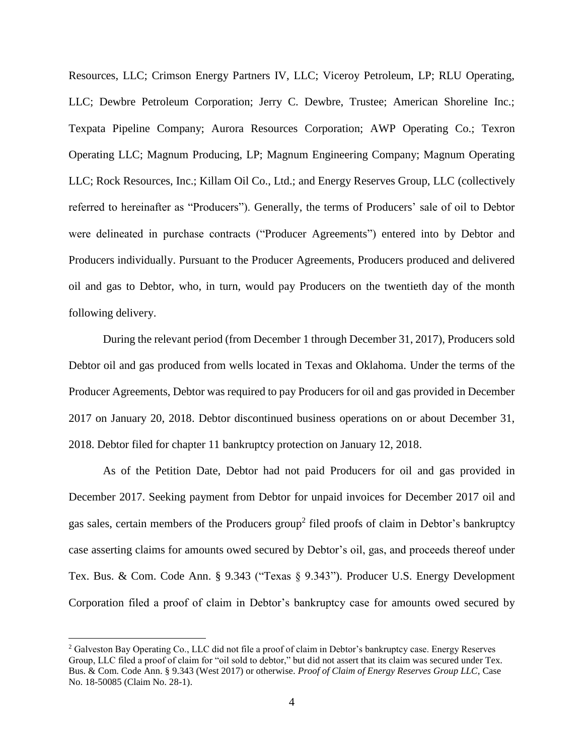Resources, LLC; Crimson Energy Partners IV, LLC; Viceroy Petroleum, LP; RLU Operating, LLC; Dewbre Petroleum Corporation; Jerry C. Dewbre, Trustee; American Shoreline Inc.; Texpata Pipeline Company; Aurora Resources Corporation; AWP Operating Co.; Texron Operating LLC; Magnum Producing, LP; Magnum Engineering Company; Magnum Operating LLC; Rock Resources, Inc.; Killam Oil Co., Ltd.; and Energy Reserves Group, LLC (collectively referred to hereinafter as "Producers"). Generally, the terms of Producers' sale of oil to Debtor were delineated in purchase contracts ("Producer Agreements") entered into by Debtor and Producers individually. Pursuant to the Producer Agreements, Producers produced and delivered oil and gas to Debtor, who, in turn, would pay Producers on the twentieth day of the month following delivery.

During the relevant period (from December 1 through December 31, 2017), Producers sold Debtor oil and gas produced from wells located in Texas and Oklahoma. Under the terms of the Producer Agreements, Debtor was required to pay Producers for oil and gas provided in December 2017 on January 20, 2018. Debtor discontinued business operations on or about December 31, 2018. Debtor filed for chapter 11 bankruptcy protection on January 12, 2018.

As of the Petition Date, Debtor had not paid Producers for oil and gas provided in December 2017. Seeking payment from Debtor for unpaid invoices for December 2017 oil and gas sales, certain members of the Producers group<sup>2</sup> filed proofs of claim in Debtor's bankruptcy case asserting claims for amounts owed secured by Debtor's oil, gas, and proceeds thereof under Tex. Bus. & Com. Code Ann. § 9.343 ("Texas § 9.343"). Producer U.S. Energy Development Corporation filed a proof of claim in Debtor's bankruptcy case for amounts owed secured by

<sup>&</sup>lt;sup>2</sup> Galveston Bay Operating Co., LLC did not file a proof of claim in Debtor's bankruptcy case. Energy Reserves Group, LLC filed a proof of claim for "oil sold to debtor," but did not assert that its claim was secured under Tex. Bus. & Com. Code Ann. § 9.343 (West 2017) or otherwise. *Proof of Claim of Energy Reserves Group LLC*, Case No. 18-50085 (Claim No. 28-1).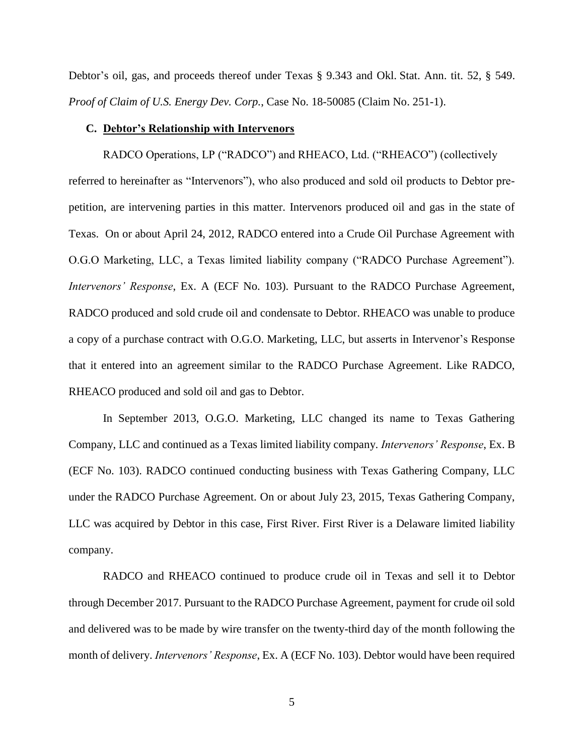Debtor's oil, gas, and proceeds thereof under Texas § 9.343 and Okl. Stat. Ann. tit. 52, § 549. *Proof of Claim of U.S. Energy Dev. Corp.*, Case No. 18-50085 (Claim No. 251-1).

### **C. Debtor's Relationship with Intervenors**

RADCO Operations, LP ("RADCO") and RHEACO, Ltd. ("RHEACO") (collectively referred to hereinafter as "Intervenors"), who also produced and sold oil products to Debtor prepetition, are intervening parties in this matter. Intervenors produced oil and gas in the state of Texas. On or about April 24, 2012, RADCO entered into a Crude Oil Purchase Agreement with O.G.O Marketing, LLC, a Texas limited liability company ("RADCO Purchase Agreement"). *Intervenors' Response*, Ex. A (ECF No. 103). Pursuant to the RADCO Purchase Agreement, RADCO produced and sold crude oil and condensate to Debtor. RHEACO was unable to produce a copy of a purchase contract with O.G.O. Marketing, LLC, but asserts in Intervenor's Response that it entered into an agreement similar to the RADCO Purchase Agreement. Like RADCO, RHEACO produced and sold oil and gas to Debtor.

In September 2013, O.G.O. Marketing, LLC changed its name to Texas Gathering Company, LLC and continued as a Texas limited liability company. *Intervenors' Response*, Ex. B (ECF No. 103). RADCO continued conducting business with Texas Gathering Company, LLC under the RADCO Purchase Agreement. On or about July 23, 2015, Texas Gathering Company, LLC was acquired by Debtor in this case, First River. First River is a Delaware limited liability company.

RADCO and RHEACO continued to produce crude oil in Texas and sell it to Debtor through December 2017. Pursuant to the RADCO Purchase Agreement, payment for crude oil sold and delivered was to be made by wire transfer on the twenty-third day of the month following the month of delivery. *Intervenors' Response*, Ex. A (ECF No. 103). Debtor would have been required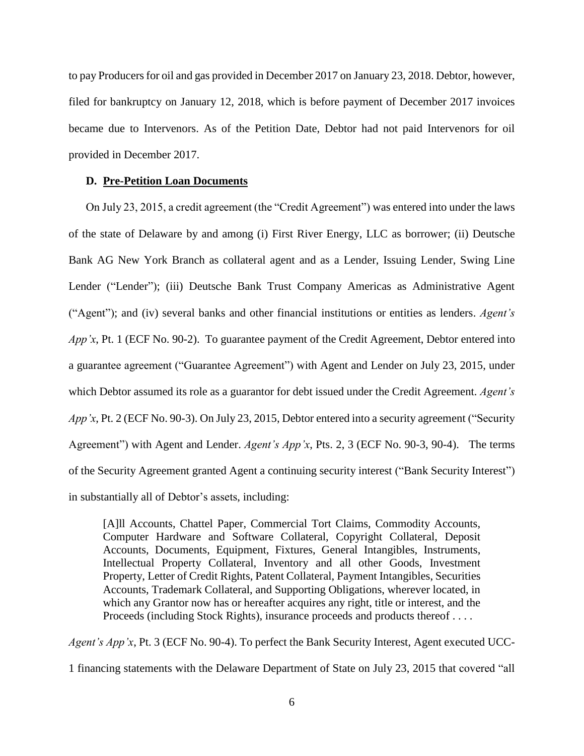to pay Producers for oil and gas provided in December 2017 on January 23, 2018. Debtor, however, filed for bankruptcy on January 12, 2018, which is before payment of December 2017 invoices became due to Intervenors. As of the Petition Date, Debtor had not paid Intervenors for oil provided in December 2017.

### **D. Pre-Petition Loan Documents**

On July 23, 2015, a credit agreement (the "Credit Agreement") was entered into under the laws of the state of Delaware by and among (i) First River Energy, LLC as borrower; (ii) Deutsche Bank AG New York Branch as collateral agent and as a Lender, Issuing Lender, Swing Line Lender ("Lender"); (iii) Deutsche Bank Trust Company Americas as Administrative Agent ("Agent"); and (iv) several banks and other financial institutions or entities as lenders. *Agent's App'x*, Pt. 1 (ECF No. 90-2). To guarantee payment of the Credit Agreement, Debtor entered into a guarantee agreement ("Guarantee Agreement") with Agent and Lender on July 23, 2015, under which Debtor assumed its role as a guarantor for debt issued under the Credit Agreement. *Agent's App'x*, Pt. 2 (ECF No. 90-3). On July 23, 2015, Debtor entered into a security agreement ("Security Agreement") with Agent and Lender. *Agent's App'x*, Pts. 2, 3 (ECF No. 90-3, 90-4). The terms of the Security Agreement granted Agent a continuing security interest ("Bank Security Interest") in substantially all of Debtor's assets, including:

[A]ll Accounts, Chattel Paper, Commercial Tort Claims, Commodity Accounts, Computer Hardware and Software Collateral, Copyright Collateral, Deposit Accounts, Documents, Equipment, Fixtures, General Intangibles, Instruments, Intellectual Property Collateral, Inventory and all other Goods, Investment Property, Letter of Credit Rights, Patent Collateral, Payment Intangibles, Securities Accounts, Trademark Collateral, and Supporting Obligations, wherever located, in which any Grantor now has or hereafter acquires any right, title or interest, and the Proceeds (including Stock Rights), insurance proceeds and products thereof . . . .

*Agent's App'x*, Pt. 3 (ECF No. 90-4). To perfect the Bank Security Interest, Agent executed UCC-1 financing statements with the Delaware Department of State on July 23, 2015 that covered "all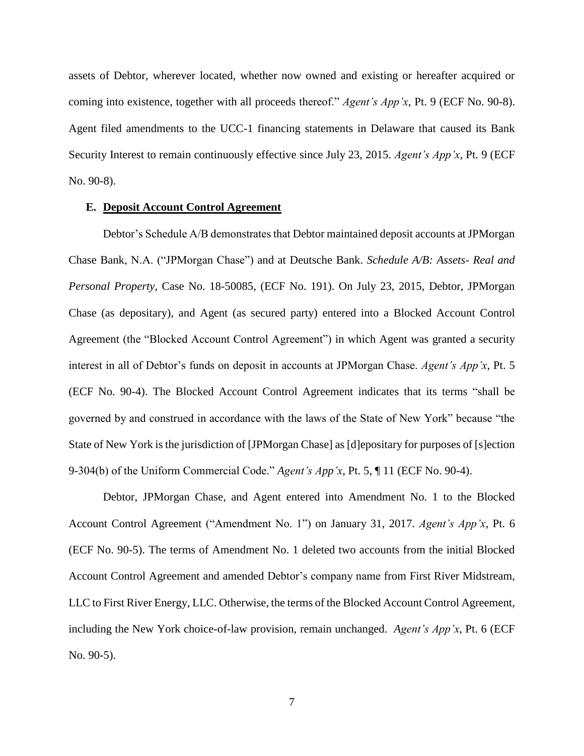assets of Debtor, wherever located, whether now owned and existing or hereafter acquired or coming into existence, together with all proceeds thereof." *Agent's App'x*, Pt. 9 (ECF No. 90-8). Agent filed amendments to the UCC-1 financing statements in Delaware that caused its Bank Security Interest to remain continuously effective since July 23, 2015. *Agent's App'x*, Pt. 9 (ECF No. 90-8).

### **E. Deposit Account Control Agreement**

Debtor's Schedule A/B demonstrates that Debtor maintained deposit accounts at JPMorgan Chase Bank, N.A. ("JPMorgan Chase") and at Deutsche Bank. *Schedule A/B: Assets- Real and Personal Property*, Case No. 18-50085, (ECF No. 191). On July 23, 2015, Debtor, JPMorgan Chase (as depositary), and Agent (as secured party) entered into a Blocked Account Control Agreement (the "Blocked Account Control Agreement") in which Agent was granted a security interest in all of Debtor's funds on deposit in accounts at JPMorgan Chase. *Agent's App'x*, Pt. 5 (ECF No. 90-4). The Blocked Account Control Agreement indicates that its terms "shall be governed by and construed in accordance with the laws of the State of New York" because "the State of New York is the jurisdiction of [JPMorgan Chase] as [d]epositary for purposes of [s]ection 9-304(b) of the Uniform Commercial Code." *Agent's App'x*, Pt. 5, ¶ 11 (ECF No. 90-4).

Debtor, JPMorgan Chase, and Agent entered into Amendment No. 1 to the Blocked Account Control Agreement ("Amendment No. 1") on January 31, 2017. *Agent's App'x*, Pt. 6 (ECF No. 90-5). The terms of Amendment No. 1 deleted two accounts from the initial Blocked Account Control Agreement and amended Debtor's company name from First River Midstream, LLC to First River Energy, LLC. Otherwise, the terms of the Blocked Account Control Agreement, including the New York choice-of-law provision, remain unchanged. *Agent's App'x*, Pt. 6 (ECF No. 90-5).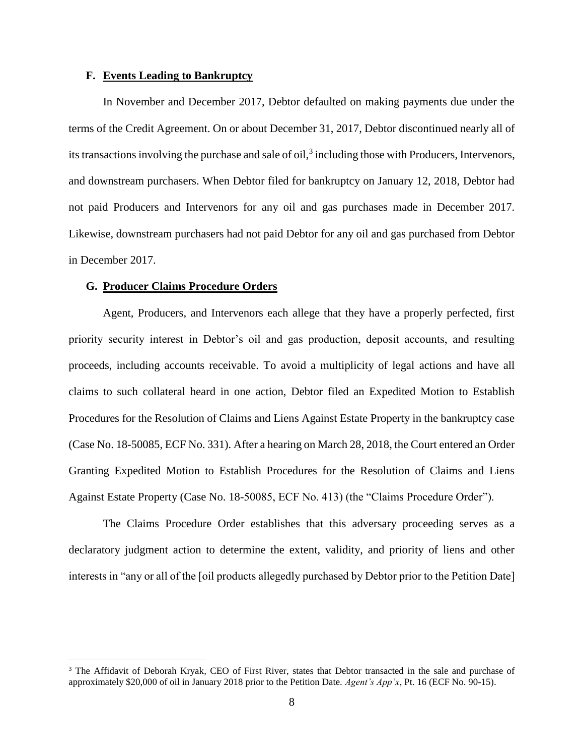# **F. Events Leading to Bankruptcy**

In November and December 2017, Debtor defaulted on making payments due under the terms of the Credit Agreement. On or about December 31, 2017, Debtor discontinued nearly all of its transactions involving the purchase and sale of oil, $3$  including those with Producers, Intervenors, and downstream purchasers. When Debtor filed for bankruptcy on January 12, 2018, Debtor had not paid Producers and Intervenors for any oil and gas purchases made in December 2017. Likewise, downstream purchasers had not paid Debtor for any oil and gas purchased from Debtor in December 2017.

### **G. Producer Claims Procedure Orders**

 $\overline{a}$ 

Agent, Producers, and Intervenors each allege that they have a properly perfected, first priority security interest in Debtor's oil and gas production, deposit accounts, and resulting proceeds, including accounts receivable. To avoid a multiplicity of legal actions and have all claims to such collateral heard in one action, Debtor filed an Expedited Motion to Establish Procedures for the Resolution of Claims and Liens Against Estate Property in the bankruptcy case (Case No. 18-50085, ECF No. 331). After a hearing on March 28, 2018, the Court entered an Order Granting Expedited Motion to Establish Procedures for the Resolution of Claims and Liens Against Estate Property (Case No. 18-50085, ECF No. 413) (the "Claims Procedure Order").

The Claims Procedure Order establishes that this adversary proceeding serves as a declaratory judgment action to determine the extent, validity, and priority of liens and other interests in "any or all of the [oil products allegedly purchased by Debtor prior to the Petition Date]

<sup>&</sup>lt;sup>3</sup> The Affidavit of Deborah Kryak, CEO of First River, states that Debtor transacted in the sale and purchase of approximately \$20,000 of oil in January 2018 prior to the Petition Date. *Agent's App'x*, Pt. 16 (ECF No. 90-15).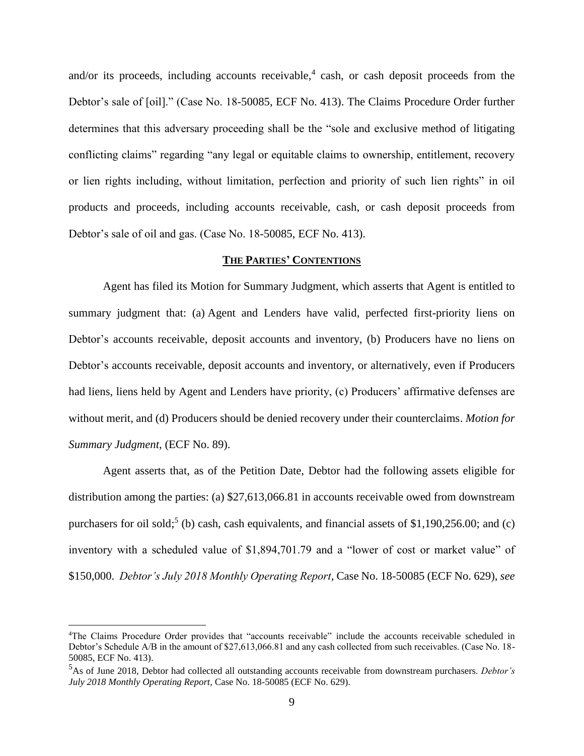and/or its proceeds, including accounts receivable, $4$  cash, or cash deposit proceeds from the Debtor's sale of [oil]." (Case No. 18-50085, ECF No. 413). The Claims Procedure Order further determines that this adversary proceeding shall be the "sole and exclusive method of litigating conflicting claims" regarding "any legal or equitable claims to ownership, entitlement, recovery or lien rights including, without limitation, perfection and priority of such lien rights" in oil products and proceeds, including accounts receivable, cash, or cash deposit proceeds from Debtor's sale of oil and gas. (Case No. 18-50085, ECF No. 413).

### **THE PARTIES' CONTENTIONS**

Agent has filed its Motion for Summary Judgment, which asserts that Agent is entitled to summary judgment that: (a) Agent and Lenders have valid, perfected first-priority liens on Debtor's accounts receivable, deposit accounts and inventory, (b) Producers have no liens on Debtor's accounts receivable, deposit accounts and inventory, or alternatively, even if Producers had liens, liens held by Agent and Lenders have priority, (c) Producers' affirmative defenses are without merit, and (d) Producers should be denied recovery under their counterclaims. *Motion for Summary Judgment*, (ECF No. 89).

Agent asserts that, as of the Petition Date, Debtor had the following assets eligible for distribution among the parties: (a) \$27,613,066.81 in accounts receivable owed from downstream purchasers for oil sold;<sup>5</sup> (b) cash, cash equivalents, and financial assets of \$1,190,256.00; and (c) inventory with a scheduled value of \$1,894,701.79 and a "lower of cost or market value" of \$150,000. *Debtor's July 2018 Monthly Operating Report*, Case No. 18-50085 (ECF No. 629), *see* 

<sup>4</sup>The Claims Procedure Order provides that "accounts receivable" include the accounts receivable scheduled in Debtor's Schedule A/B in the amount of \$27,613,066.81 and any cash collected from such receivables. (Case No. 18- 50085, ECF No. 413).

<sup>5</sup>As of June 2018, Debtor had collected all outstanding accounts receivable from downstream purchasers. *Debtor's July 2018 Monthly Operating Report*, Case No. 18-50085 (ECF No. 629).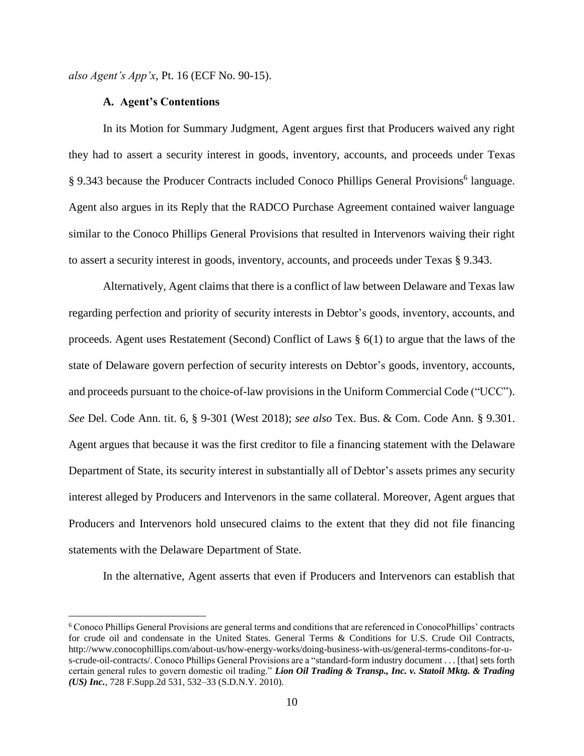*also Agent's App'x*, Pt. 16 (ECF No. 90-15).

## **A. Agent's Contentions**

 $\overline{a}$ 

In its Motion for Summary Judgment, Agent argues first that Producers waived any right they had to assert a security interest in goods, inventory, accounts, and proceeds under Texas § 9.343 because the Producer Contracts included Conoco Phillips General Provisions<sup>6</sup> language. Agent also argues in its Reply that the RADCO Purchase Agreement contained waiver language similar to the Conoco Phillips General Provisions that resulted in Intervenors waiving their right to assert a security interest in goods, inventory, accounts, and proceeds under Texas § 9.343.

Alternatively, Agent claims that there is a conflict of law between Delaware and Texas law regarding perfection and priority of security interests in Debtor's goods, inventory, accounts, and proceeds. Agent uses Restatement (Second) Conflict of Laws § 6(1) to argue that the laws of the state of Delaware govern perfection of security interests on Debtor's goods, inventory, accounts, and proceeds pursuant to the choice-of-law provisions in the Uniform Commercial Code ("UCC"). *See* Del. Code Ann. tit. 6, § 9-301 (West 2018); *see also* Tex. Bus. & Com. Code Ann. § 9.301. Agent argues that because it was the first creditor to file a financing statement with the Delaware Department of State, its security interest in substantially all of Debtor's assets primes any security interest alleged by Producers and Intervenors in the same collateral. Moreover, Agent argues that Producers and Intervenors hold unsecured claims to the extent that they did not file financing statements with the Delaware Department of State.

In the alternative, Agent asserts that even if Producers and Intervenors can establish that

<sup>6</sup> Conoco Phillips General Provisions are general terms and conditions that are referenced in ConocoPhillips' contracts for crude oil and condensate in the United States. General Terms & Conditions for U.S. Crude Oil Contracts, http://www.conocophillips.com/about-us/how-energy-works/doing-business-with-us/general-terms-conditons-for-us-crude-oil-contracts/. Conoco Phillips General Provisions are a "standard-form industry document . . . [that] sets forth certain general rules to govern domestic oil trading." *Lion Oil Trading & Transp., Inc. v. Statoil Mktg. & Trading (US) Inc.*, 728 F.Supp.2d 531, 532–33 (S.D.N.Y. 2010).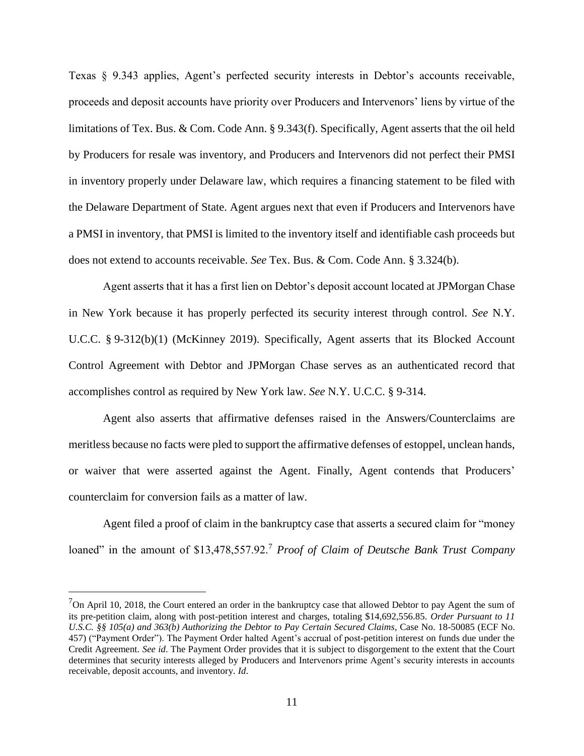Texas § 9.343 applies, Agent's perfected security interests in Debtor's accounts receivable, proceeds and deposit accounts have priority over Producers and Intervenors' liens by virtue of the limitations of Tex. Bus. & Com. Code Ann. § 9.343(f). Specifically, Agent asserts that the oil held by Producers for resale was inventory, and Producers and Intervenors did not perfect their PMSI in inventory properly under Delaware law, which requires a financing statement to be filed with the Delaware Department of State. Agent argues next that even if Producers and Intervenors have a PMSI in inventory, that PMSI is limited to the inventory itself and identifiable cash proceeds but does not extend to accounts receivable. *See* Tex. Bus. & Com. Code Ann. § 3.324(b).

Agent asserts that it has a first lien on Debtor's deposit account located at JPMorgan Chase in New York because it has properly perfected its security interest through control. *See* N.Y. U.C.C. § 9-312(b)(1) (McKinney 2019). Specifically, Agent asserts that its Blocked Account Control Agreement with Debtor and JPMorgan Chase serves as an authenticated record that accomplishes control as required by New York law. *See* N.Y. U.C.C. § 9-314.

Agent also asserts that affirmative defenses raised in the Answers/Counterclaims are meritless because no facts were pled to support the affirmative defenses of estoppel, unclean hands, or waiver that were asserted against the Agent. Finally, Agent contends that Producers' counterclaim for conversion fails as a matter of law.

Agent filed a proof of claim in the bankruptcy case that asserts a secured claim for "money loaned" in the amount of \$13,478,557.92.<sup>7</sup> *Proof of Claim of Deutsche Bank Trust Company* 

 $7$ On April 10, 2018, the Court entered an order in the bankruptcy case that allowed Debtor to pay Agent the sum of its pre-petition claim, along with post-petition interest and charges, totaling \$14,692,556.85. *Order Pursuant to 11 U.S.C. §§ 105(a) and 363(b) Authorizing the Debtor to Pay Certain Secured Claims*, Case No. 18-50085 (ECF No. 457) ("Payment Order"). The Payment Order halted Agent's accrual of post-petition interest on funds due under the Credit Agreement. *See id*. The Payment Order provides that it is subject to disgorgement to the extent that the Court determines that security interests alleged by Producers and Intervenors prime Agent's security interests in accounts receivable, deposit accounts, and inventory. *Id*.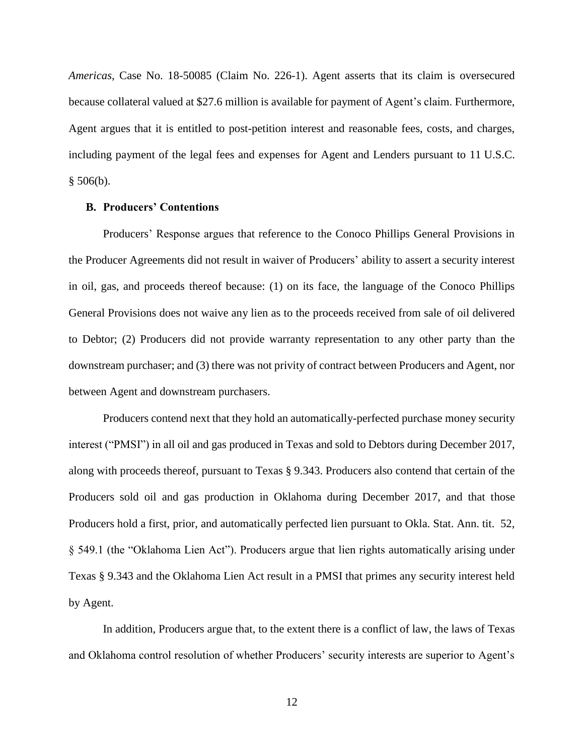*Americas*, Case No. 18-50085 (Claim No. 226-1). Agent asserts that its claim is oversecured because collateral valued at \$27.6 million is available for payment of Agent's claim. Furthermore, Agent argues that it is entitled to post-petition interest and reasonable fees, costs, and charges, including payment of the legal fees and expenses for Agent and Lenders pursuant to 11 U.S.C.  $§ 506(b).$ 

## **B. Producers' Contentions**

Producers' Response argues that reference to the Conoco Phillips General Provisions in the Producer Agreements did not result in waiver of Producers' ability to assert a security interest in oil, gas, and proceeds thereof because: (1) on its face, the language of the Conoco Phillips General Provisions does not waive any lien as to the proceeds received from sale of oil delivered to Debtor; (2) Producers did not provide warranty representation to any other party than the downstream purchaser; and (3) there was not privity of contract between Producers and Agent, nor between Agent and downstream purchasers.

Producers contend next that they hold an automatically-perfected purchase money security interest ("PMSI") in all oil and gas produced in Texas and sold to Debtors during December 2017, along with proceeds thereof, pursuant to Texas § 9.343. Producers also contend that certain of the Producers sold oil and gas production in Oklahoma during December 2017, and that those Producers hold a first, prior, and automatically perfected lien pursuant to Okla. Stat. Ann. tit. 52, § 549.1 (the "Oklahoma Lien Act"). Producers argue that lien rights automatically arising under Texas § 9.343 and the Oklahoma Lien Act result in a PMSI that primes any security interest held by Agent.

In addition, Producers argue that, to the extent there is a conflict of law, the laws of Texas and Oklahoma control resolution of whether Producers' security interests are superior to Agent's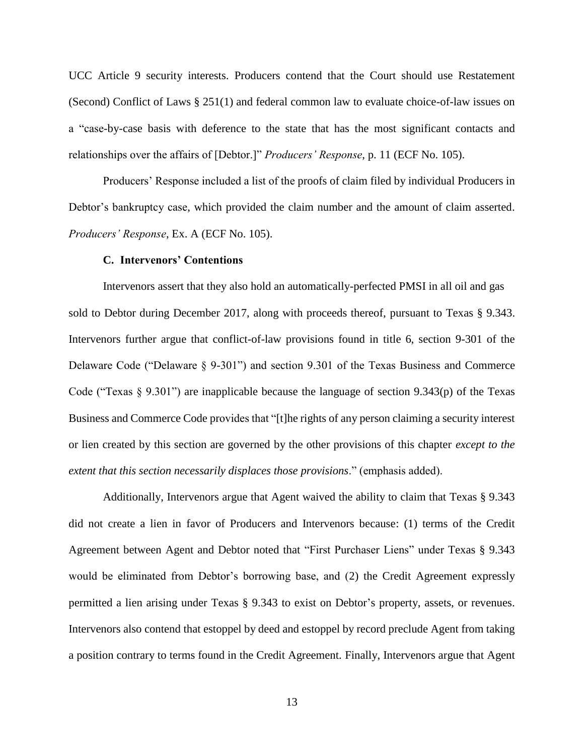UCC Article 9 security interests. Producers contend that the Court should use Restatement (Second) Conflict of Laws § 251(1) and federal common law to evaluate choice-of-law issues on a "case-by-case basis with deference to the state that has the most significant contacts and relationships over the affairs of [Debtor.]" *Producers' Response*, p. 11 (ECF No. 105).

Producers' Response included a list of the proofs of claim filed by individual Producers in Debtor's bankruptcy case, which provided the claim number and the amount of claim asserted. *Producers' Response*, Ex. A (ECF No. 105).

### **C. Intervenors' Contentions**

Intervenors assert that they also hold an automatically-perfected PMSI in all oil and gas sold to Debtor during December 2017, along with proceeds thereof, pursuant to Texas § 9.343. Intervenors further argue that conflict-of-law provisions found in title 6, section 9-301 of the Delaware Code ("Delaware § 9-301") and section 9.301 of the Texas Business and Commerce Code ("Texas  $\S$  9.301") are inapplicable because the language of section 9.343(p) of the Texas Business and Commerce Code provides that "[t]he rights of any person claiming a security interest or lien created by this section are governed by the other provisions of this chapter *except to the extent that this section necessarily displaces those provisions*." (emphasis added).

Additionally, Intervenors argue that Agent waived the ability to claim that Texas § 9.343 did not create a lien in favor of Producers and Intervenors because: (1) terms of the Credit Agreement between Agent and Debtor noted that "First Purchaser Liens" under Texas § 9.343 would be eliminated from Debtor's borrowing base, and (2) the Credit Agreement expressly permitted a lien arising under Texas § 9.343 to exist on Debtor's property, assets, or revenues. Intervenors also contend that estoppel by deed and estoppel by record preclude Agent from taking a position contrary to terms found in the Credit Agreement. Finally, Intervenors argue that Agent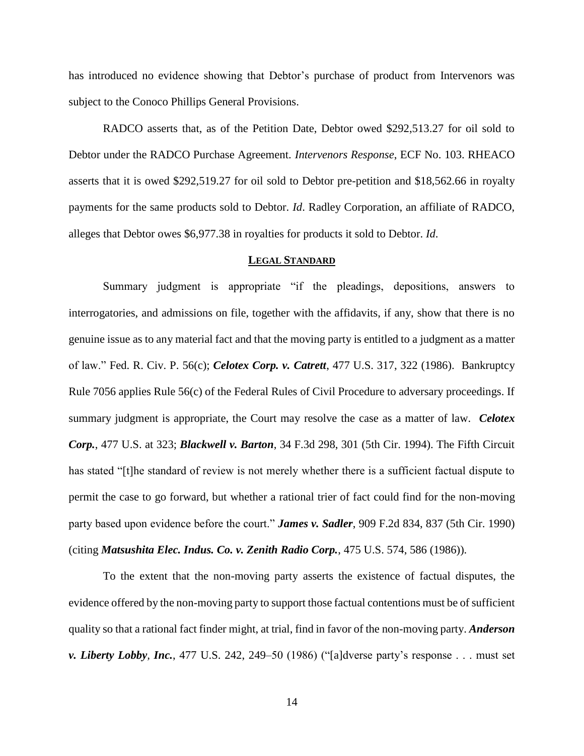has introduced no evidence showing that Debtor's purchase of product from Intervenors was subject to the Conoco Phillips General Provisions.

RADCO asserts that, as of the Petition Date, Debtor owed \$292,513.27 for oil sold to Debtor under the RADCO Purchase Agreement. *Intervenors Response*, ECF No. 103. RHEACO asserts that it is owed \$292,519.27 for oil sold to Debtor pre-petition and \$18,562.66 in royalty payments for the same products sold to Debtor. *Id*. Radley Corporation, an affiliate of RADCO, alleges that Debtor owes \$6,977.38 in royalties for products it sold to Debtor. *Id*.

## **LEGAL STANDARD**

Summary judgment is appropriate "if the pleadings, depositions, answers to interrogatories, and admissions on file, together with the affidavits, if any, show that there is no genuine issue as to any material fact and that the moving party is entitled to a judgment as a matter of law." Fed. R. Civ. P. 56(c); *Celotex Corp. v. Catrett*, 477 U.S. 317, 322 (1986). Bankruptcy Rule 7056 applies Rule 56(c) of the Federal Rules of Civil Procedure to adversary proceedings. If summary judgment is appropriate, the Court may resolve the case as a matter of law. *Celotex Corp.*, 477 U.S. at 323; *Blackwell v. Barton*, 34 F.3d 298, 301 (5th Cir. 1994). The Fifth Circuit has stated "[t]he standard of review is not merely whether there is a sufficient factual dispute to permit the case to go forward, but whether a rational trier of fact could find for the non-moving party based upon evidence before the court." *James v. Sadler*, 909 F.2d 834, 837 (5th Cir. 1990) (citing *Matsushita Elec. Indus. Co. v. Zenith Radio Corp.*, 475 U.S. 574, 586 (1986)).

To the extent that the non-moving party asserts the existence of factual disputes, the evidence offered by the non-moving party to support those factual contentions must be of sufficient quality so that a rational fact finder might, at trial, find in favor of the non-moving party. *Anderson v. Liberty Lobby, Inc.*, 477 U.S. 242, 249–50 (1986) ("[a]dverse party's response . . . must set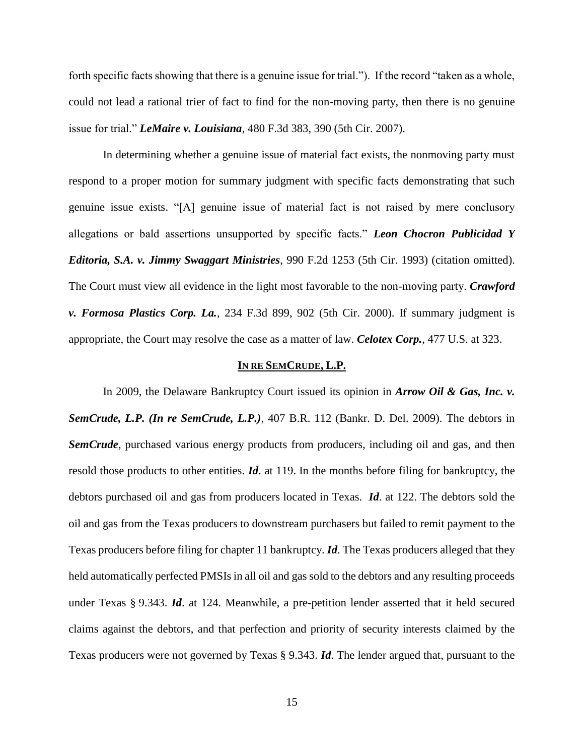forth specific facts showing that there is a genuine issue for trial."). If the record "taken as a whole, could not lead a rational trier of fact to find for the non-moving party, then there is no genuine issue for trial." *LeMaire v. Louisiana*, 480 F.3d 383, 390 (5th Cir. 2007).

In determining whether a genuine issue of material fact exists, the nonmoving party must respond to a proper motion for summary judgment with specific facts demonstrating that such genuine issue exists. "[A] genuine issue of material fact is not raised by mere conclusory allegations or bald assertions unsupported by specific facts." *Leon Chocron Publicidad Y Editoria, S.A. v. Jimmy Swaggart Ministries*, 990 F.2d 1253 (5th Cir. 1993) (citation omitted). The Court must view all evidence in the light most favorable to the non-moving party. *Crawford v. Formosa Plastics Corp. La.*, 234 F.3d 899, 902 (5th Cir. 2000). If summary judgment is appropriate, the Court may resolve the case as a matter of law. *Celotex Corp.*, 477 U.S. at 323.

#### **IN RE SEMCRUDE, L.P.**

In 2009, the Delaware Bankruptcy Court issued its opinion in *Arrow Oil & Gas, Inc. v. SemCrude, L.P. (In re SemCrude, L.P.)*, 407 B.R. 112 (Bankr. D. Del. 2009). The debtors in **SemCrude**, purchased various energy products from producers, including oil and gas, and then resold those products to other entities. *Id*. at 119. In the months before filing for bankruptcy, the debtors purchased oil and gas from producers located in Texas. *Id*. at 122. The debtors sold the oil and gas from the Texas producers to downstream purchasers but failed to remit payment to the Texas producers before filing for chapter 11 bankruptcy. *Id*. The Texas producers alleged that they held automatically perfected PMSIs in all oil and gas sold to the debtors and any resulting proceeds under Texas § 9.343. *Id*. at 124. Meanwhile, a pre-petition lender asserted that it held secured claims against the debtors, and that perfection and priority of security interests claimed by the Texas producers were not governed by Texas § 9.343. *Id*. The lender argued that, pursuant to the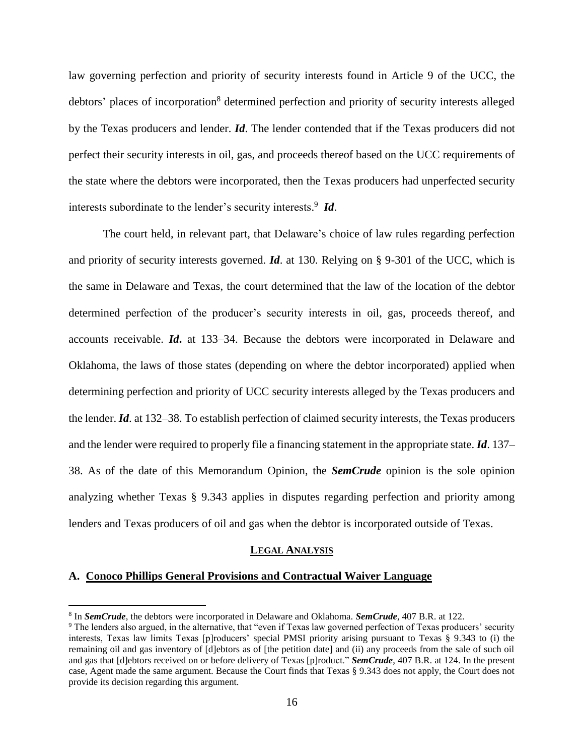law governing perfection and priority of security interests found in Article 9 of the UCC, the debtors' places of incorporation<sup>8</sup> determined perfection and priority of security interests alleged by the Texas producers and lender. *Id*. The lender contended that if the Texas producers did not perfect their security interests in oil, gas, and proceeds thereof based on the UCC requirements of the state where the debtors were incorporated, then the Texas producers had unperfected security interests subordinate to the lender's security interests. 9 *Id*.

The court held, in relevant part, that Delaware's choice of law rules regarding perfection and priority of security interests governed. *Id*. at 130. Relying on § 9-301 of the UCC, which is the same in Delaware and Texas, the court determined that the law of the location of the debtor determined perfection of the producer's security interests in oil, gas, proceeds thereof, and accounts receivable. *Id***.** at 133–34. Because the debtors were incorporated in Delaware and Oklahoma, the laws of those states (depending on where the debtor incorporated) applied when determining perfection and priority of UCC security interests alleged by the Texas producers and the lender. *Id*. at 132–38. To establish perfection of claimed security interests, the Texas producers and the lender were required to properly file a financing statement in the appropriate state. *Id*. 137– 38. As of the date of this Memorandum Opinion, the *SemCrude* opinion is the sole opinion analyzing whether Texas § 9.343 applies in disputes regarding perfection and priority among lenders and Texas producers of oil and gas when the debtor is incorporated outside of Texas.

### **LEGAL ANALYSIS**

#### **A. Conoco Phillips General Provisions and Contractual Waiver Language**

<sup>8</sup> In *SemCrude*, the debtors were incorporated in Delaware and Oklahoma. *SemCrude*, 407 B.R. at 122.

<sup>9</sup> The lenders also argued, in the alternative, that "even if Texas law governed perfection of Texas producers' security interests, Texas law limits Texas [p]roducers' special PMSI priority arising pursuant to Texas § 9.343 to (i) the remaining oil and gas inventory of [d]ebtors as of [the petition date] and (ii) any proceeds from the sale of such oil and gas that [d]ebtors received on or before delivery of Texas [p]roduct." *SemCrude*, 407 B.R. at 124. In the present case, Agent made the same argument. Because the Court finds that Texas § 9.343 does not apply, the Court does not provide its decision regarding this argument.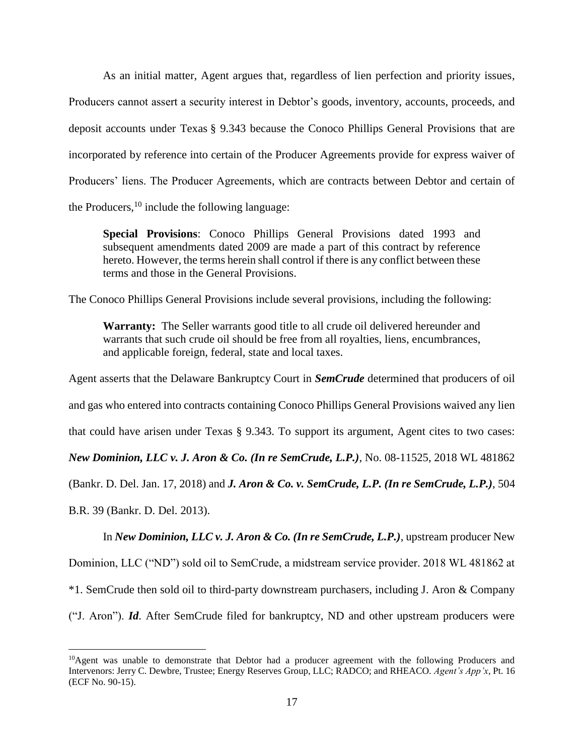As an initial matter, Agent argues that, regardless of lien perfection and priority issues, Producers cannot assert a security interest in Debtor's goods, inventory, accounts, proceeds, and deposit accounts under Texas § 9.343 because the Conoco Phillips General Provisions that are incorporated by reference into certain of the Producer Agreements provide for express waiver of Producers' liens. The Producer Agreements, which are contracts between Debtor and certain of the Producers,  $^{10}$  include the following language:

**Special Provisions**: Conoco Phillips General Provisions dated 1993 and subsequent amendments dated 2009 are made a part of this contract by reference hereto. However, the terms herein shall control if there is any conflict between these terms and those in the General Provisions.

The Conoco Phillips General Provisions include several provisions, including the following:

**Warranty:** The Seller warrants good title to all crude oil delivered hereunder and warrants that such crude oil should be free from all royalties, liens, encumbrances, and applicable foreign, federal, state and local taxes.

Agent asserts that the Delaware Bankruptcy Court in *SemCrude* determined that producers of oil

and gas who entered into contracts containing Conoco Phillips General Provisions waived any lien

that could have arisen under Texas § 9.343. To support its argument, Agent cites to two cases:

*New Dominion, LLC v. J. Aron & Co. (In re SemCrude, L.P.)*, No. 08-11525, 2018 WL 481862

(Bankr. D. Del. Jan. 17, 2018) and *J. Aron & Co. v. SemCrude, L.P. (In re SemCrude, L.P.)*, 504

B.R. 39 (Bankr. D. Del. 2013).

 $\overline{a}$ 

In *New Dominion, LLC v. J. Aron & Co. (In re SemCrude, L.P.)*, upstream producer New

Dominion, LLC ("ND") sold oil to SemCrude, a midstream service provider. 2018 WL 481862 at

\*1. SemCrude then sold oil to third-party downstream purchasers, including J. Aron & Company

("J. Aron"). *Id*. After SemCrude filed for bankruptcy, ND and other upstream producers were

<sup>&</sup>lt;sup>10</sup>Agent was unable to demonstrate that Debtor had a producer agreement with the following Producers and Intervenors: Jerry C. Dewbre, Trustee; Energy Reserves Group, LLC; RADCO; and RHEACO. *Agent's App'x*, Pt. 16 (ECF No. 90-15).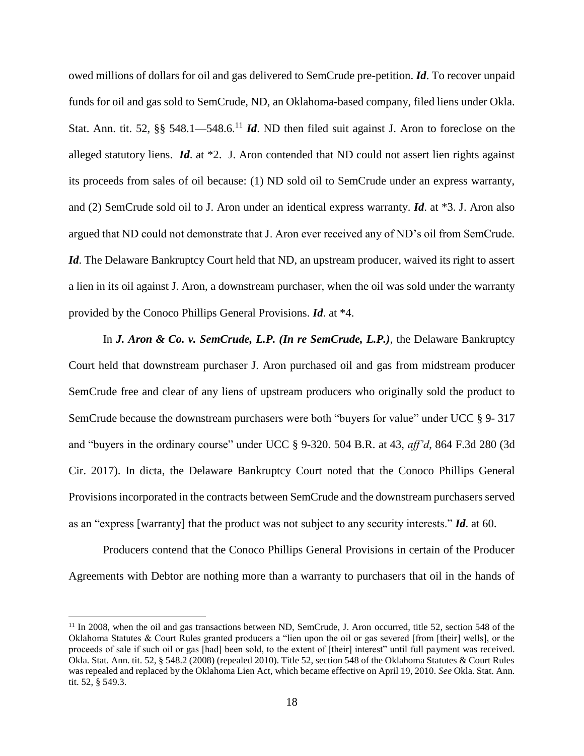owed millions of dollars for oil and gas delivered to SemCrude pre-petition. *Id*. To recover unpaid funds for oil and gas sold to SemCrude, ND, an Oklahoma-based company, filed liens under Okla. Stat. Ann. tit. 52, §§ 548.1—548.6.<sup>11</sup> *Id*. ND then filed suit against J. Aron to foreclose on the alleged statutory liens. *Id*. at \*2. J. Aron contended that ND could not assert lien rights against its proceeds from sales of oil because: (1) ND sold oil to SemCrude under an express warranty, and (2) SemCrude sold oil to J. Aron under an identical express warranty. *Id*. at \*3. J. Aron also argued that ND could not demonstrate that J. Aron ever received any of ND's oil from SemCrude. *Id*. The Delaware Bankruptcy Court held that ND, an upstream producer, waived its right to assert a lien in its oil against J. Aron, a downstream purchaser, when the oil was sold under the warranty provided by the Conoco Phillips General Provisions. *Id*. at \*4.

In *J. Aron & Co. v. SemCrude, L.P. (In re SemCrude, L.P.)*, the Delaware Bankruptcy Court held that downstream purchaser J. Aron purchased oil and gas from midstream producer SemCrude free and clear of any liens of upstream producers who originally sold the product to SemCrude because the downstream purchasers were both "buyers for value" under UCC § 9- 317 and "buyers in the ordinary course" under UCC § 9-320. 504 B.R. at 43, *aff'd*, 864 F.3d 280 (3d Cir. 2017). In dicta, the Delaware Bankruptcy Court noted that the Conoco Phillips General Provisions incorporated in the contracts between SemCrude and the downstream purchasers served as an "express [warranty] that the product was not subject to any security interests." *Id*. at 60.

Producers contend that the Conoco Phillips General Provisions in certain of the Producer Agreements with Debtor are nothing more than a warranty to purchasers that oil in the hands of

<sup>&</sup>lt;sup>11</sup> In 2008, when the oil and gas transactions between ND, SemCrude, J. Aron occurred, title 52, section 548 of the Oklahoma Statutes & Court Rules granted producers a "lien upon the oil or gas severed [from [their] wells], or the proceeds of sale if such oil or gas [had] been sold, to the extent of [their] interest" until full payment was received. Okla. Stat. Ann. tit. 52, § 548.2 (2008) (repealed 2010). Title 52, section 548 of the Oklahoma Statutes & Court Rules was repealed and replaced by the Oklahoma Lien Act, which became effective on April 19, 2010. *See* Okla. Stat. Ann. tit. 52, § 549.3.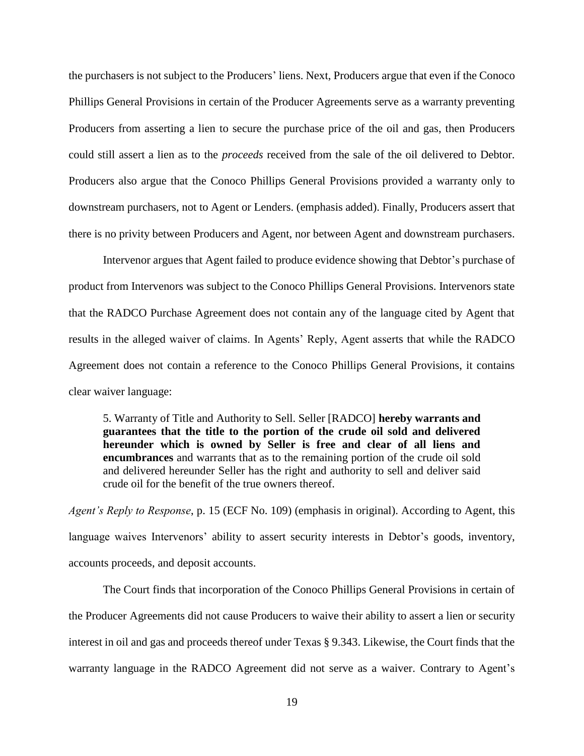the purchasers is not subject to the Producers' liens. Next, Producers argue that even if the Conoco Phillips General Provisions in certain of the Producer Agreements serve as a warranty preventing Producers from asserting a lien to secure the purchase price of the oil and gas, then Producers could still assert a lien as to the *proceeds* received from the sale of the oil delivered to Debtor. Producers also argue that the Conoco Phillips General Provisions provided a warranty only to downstream purchasers, not to Agent or Lenders. (emphasis added). Finally, Producers assert that there is no privity between Producers and Agent, nor between Agent and downstream purchasers.

Intervenor argues that Agent failed to produce evidence showing that Debtor's purchase of product from Intervenors was subject to the Conoco Phillips General Provisions. Intervenors state that the RADCO Purchase Agreement does not contain any of the language cited by Agent that results in the alleged waiver of claims. In Agents' Reply, Agent asserts that while the RADCO Agreement does not contain a reference to the Conoco Phillips General Provisions, it contains clear waiver language:

5. Warranty of Title and Authority to Sell. Seller [RADCO] **hereby warrants and guarantees that the title to the portion of the crude oil sold and delivered hereunder which is owned by Seller is free and clear of all liens and encumbrances** and warrants that as to the remaining portion of the crude oil sold and delivered hereunder Seller has the right and authority to sell and deliver said crude oil for the benefit of the true owners thereof.

*Agent's Reply to Response*, p. 15 (ECF No. 109) (emphasis in original). According to Agent, this language waives Intervenors' ability to assert security interests in Debtor's goods, inventory, accounts proceeds, and deposit accounts.

The Court finds that incorporation of the Conoco Phillips General Provisions in certain of the Producer Agreements did not cause Producers to waive their ability to assert a lien or security interest in oil and gas and proceeds thereof under Texas § 9.343. Likewise, the Court finds that the warranty language in the RADCO Agreement did not serve as a waiver. Contrary to Agent's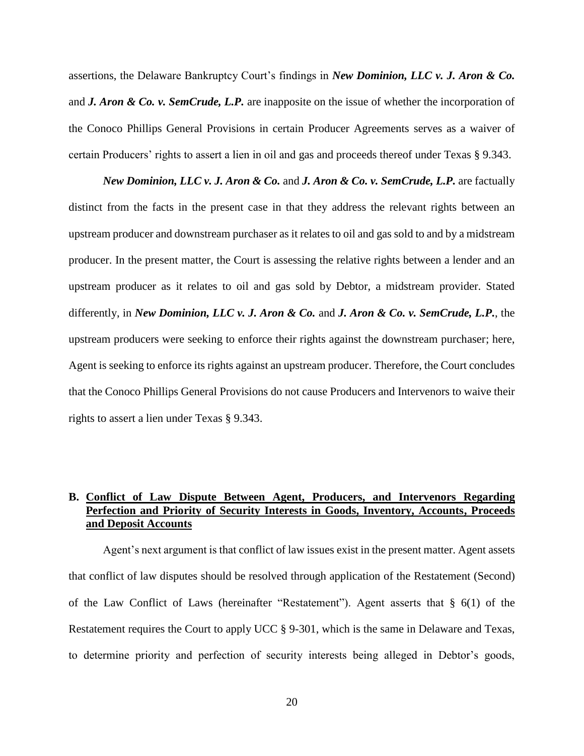assertions, the Delaware Bankruptcy Court's findings in *New Dominion, LLC v. J. Aron & Co.*  and *J. Aron & Co. v. SemCrude, L.P.* are inapposite on the issue of whether the incorporation of the Conoco Phillips General Provisions in certain Producer Agreements serves as a waiver of certain Producers' rights to assert a lien in oil and gas and proceeds thereof under Texas § 9.343.

*New Dominion, LLC v. J. Aron & Co.* and *J. Aron & Co. v. SemCrude, L.P.* are factually distinct from the facts in the present case in that they address the relevant rights between an upstream producer and downstream purchaser as it relates to oil and gas sold to and by a midstream producer. In the present matter, the Court is assessing the relative rights between a lender and an upstream producer as it relates to oil and gas sold by Debtor, a midstream provider. Stated differently, in *New Dominion, LLC v. J. Aron & Co.* and *J. Aron & Co. v. SemCrude, L.P.*, the upstream producers were seeking to enforce their rights against the downstream purchaser; here, Agent is seeking to enforce its rights against an upstream producer. Therefore, the Court concludes that the Conoco Phillips General Provisions do not cause Producers and Intervenors to waive their rights to assert a lien under Texas § 9.343.

# **B. Conflict of Law Dispute Between Agent, Producers, and Intervenors Regarding Perfection and Priority of Security Interests in Goods, Inventory, Accounts, Proceeds and Deposit Accounts**

Agent's next argument is that conflict of law issues exist in the present matter. Agent assets that conflict of law disputes should be resolved through application of the Restatement (Second) of the Law Conflict of Laws (hereinafter "Restatement"). Agent asserts that § 6(1) of the Restatement requires the Court to apply UCC § 9-301, which is the same in Delaware and Texas, to determine priority and perfection of security interests being alleged in Debtor's goods,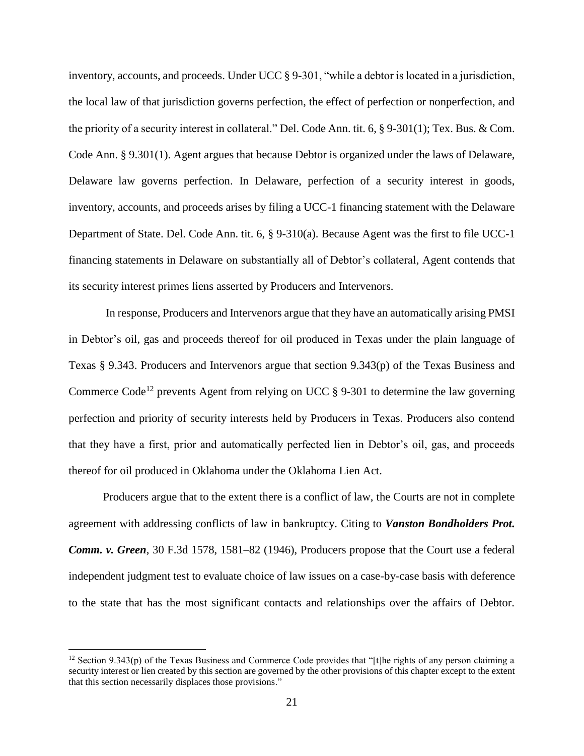inventory, accounts, and proceeds. Under UCC § 9-301, "while a debtor is located in a jurisdiction, the local law of that jurisdiction governs perfection, the effect of perfection or nonperfection, and the priority of a security interest in collateral." Del. Code Ann. tit. 6, § 9-301(1); Tex. Bus. & Com. Code Ann. § 9.301(1). Agent argues that because Debtor is organized under the laws of Delaware, Delaware law governs perfection. In Delaware, perfection of a security interest in goods, inventory, accounts, and proceeds arises by filing a UCC-1 financing statement with the Delaware Department of State. Del. Code Ann. tit. 6, § 9-310(a). Because Agent was the first to file UCC-1 financing statements in Delaware on substantially all of Debtor's collateral, Agent contends that its security interest primes liens asserted by Producers and Intervenors.

In response, Producers and Intervenors argue that they have an automatically arising PMSI in Debtor's oil, gas and proceeds thereof for oil produced in Texas under the plain language of Texas § 9.343. Producers and Intervenors argue that section 9.343(p) of the Texas Business and Commerce Code<sup>12</sup> prevents Agent from relying on UCC  $\S$  9-301 to determine the law governing perfection and priority of security interests held by Producers in Texas. Producers also contend that they have a first, prior and automatically perfected lien in Debtor's oil, gas, and proceeds thereof for oil produced in Oklahoma under the Oklahoma Lien Act.

Producers argue that to the extent there is a conflict of law, the Courts are not in complete agreement with addressing conflicts of law in bankruptcy. Citing to *Vanston Bondholders Prot. Comm. v. Green*, 30 F.3d 1578, 1581–82 (1946), Producers propose that the Court use a federal independent judgment test to evaluate choice of law issues on a case-by-case basis with deference to the state that has the most significant contacts and relationships over the affairs of Debtor.

<sup>&</sup>lt;sup>12</sup> Section 9.343(p) of the Texas Business and Commerce Code provides that "[t]he rights of any person claiming a security interest or lien created by this section are governed by the other provisions of this chapter except to the extent that this section necessarily displaces those provisions."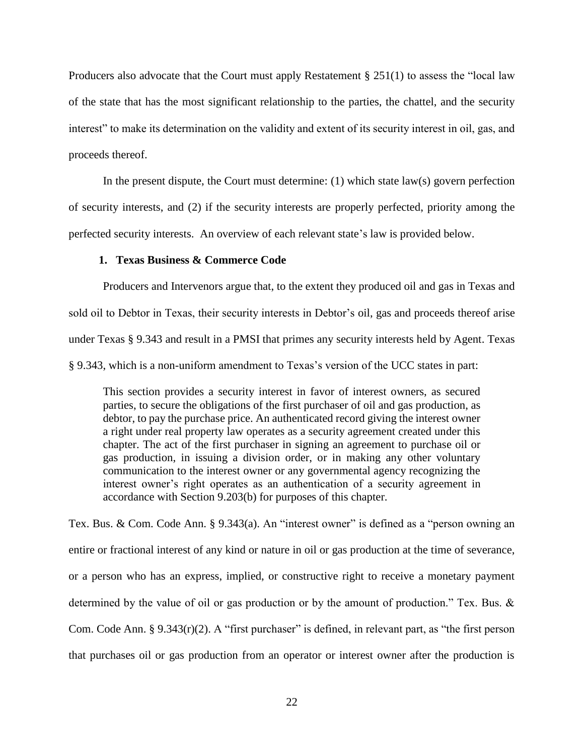Producers also advocate that the Court must apply Restatement § 251(1) to assess the "local law of the state that has the most significant relationship to the parties, the chattel, and the security interest" to make its determination on the validity and extent of its security interest in oil, gas, and proceeds thereof.

In the present dispute, the Court must determine: (1) which state law(s) govern perfection of security interests, and (2) if the security interests are properly perfected, priority among the perfected security interests. An overview of each relevant state's law is provided below.

### **1. Texas Business & Commerce Code**

Producers and Intervenors argue that, to the extent they produced oil and gas in Texas and sold oil to Debtor in Texas, their security interests in Debtor's oil, gas and proceeds thereof arise under Texas § 9.343 and result in a PMSI that primes any security interests held by Agent. Texas § 9.343, which is a non-uniform amendment to Texas's version of the UCC states in part:

This section provides a security interest in favor of interest owners, as secured parties, to secure the obligations of the first purchaser of oil and gas production, as debtor, to pay the purchase price. An authenticated record giving the interest owner a right under real property law operates as a security agreement created under this chapter. The act of the first purchaser in signing an agreement to purchase oil or gas production, in issuing a division order, or in making any other voluntary communication to the interest owner or any governmental agency recognizing the interest owner's right operates as an authentication of a security agreement in accordance with Section 9.203(b) for purposes of this chapter.

Tex. Bus. & Com. Code Ann. § 9.343(a). An "interest owner" is defined as a "person owning an entire or fractional interest of any kind or nature in oil or gas production at the time of severance, or a person who has an express, implied, or constructive right to receive a monetary payment determined by the value of oil or gas production or by the amount of production." Tex. Bus. & Com. Code Ann. § 9.343(r)(2). A "first purchaser" is defined, in relevant part, as "the first person that purchases oil or gas production from an operator or interest owner after the production is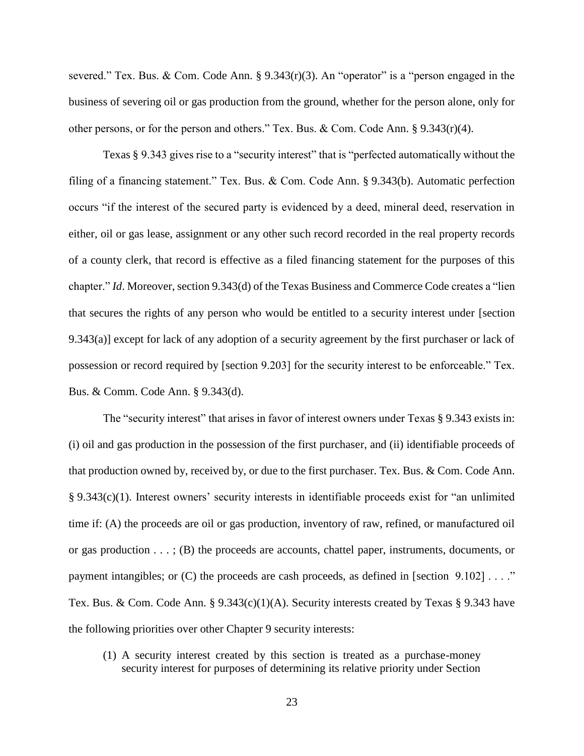severed." Tex. Bus. & Com. Code Ann. § 9.343(r)(3). An "operator" is a "person engaged in the business of severing oil or gas production from the ground, whether for the person alone, only for other persons, or for the person and others." Tex. Bus. & Com. Code Ann.  $\S 9.343(r)(4)$ .

Texas § 9.343 gives rise to a "security interest" that is "perfected automatically without the filing of a financing statement." Tex. Bus. & Com. Code Ann. § 9.343(b). Automatic perfection occurs "if the interest of the secured party is evidenced by a deed, mineral deed, reservation in either, oil or gas lease, assignment or any other such record recorded in the real property records of a county clerk, that record is effective as a filed financing statement for the purposes of this chapter." *Id*. Moreover, section 9.343(d) of the Texas Business and Commerce Code creates a "lien that secures the rights of any person who would be entitled to a security interest under [section 9.343(a)] except for lack of any adoption of a security agreement by the first purchaser or lack of possession or record required by [section 9.203] for the security interest to be enforceable." Tex. Bus. & Comm. Code Ann. § 9.343(d).

The "security interest" that arises in favor of interest owners under Texas § 9.343 exists in: (i) oil and gas production in the possession of the first purchaser, and (ii) identifiable proceeds of that production owned by, received by, or due to the first purchaser. Tex. Bus. & Com. Code Ann. § 9.343(c)(1). Interest owners' security interests in identifiable proceeds exist for "an unlimited time if: (A) the proceeds are oil or gas production, inventory of raw, refined, or manufactured oil or gas production  $\dots$ ; (B) the proceeds are accounts, chattel paper, instruments, documents, or payment intangibles; or  $(C)$  the proceeds are cash proceeds, as defined in [section 9.102] . . . ." Tex. Bus. & Com. Code Ann. § 9.343(c)(1)(A). Security interests created by Texas § 9.343 have the following priorities over other Chapter 9 security interests:

(1) A security interest created by this section is treated as a purchase-money security interest for purposes of determining its relative priority under Section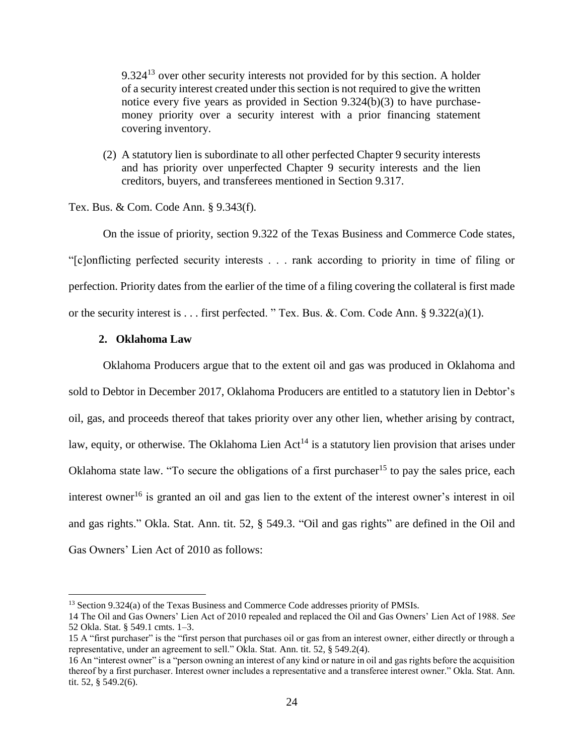9.324<sup>13</sup> over other security interests not provided for by this section. A holder of a security interest created under this section is not required to give the written notice every five years as provided in Section 9.324(b)(3) to have purchasemoney priority over a security interest with a prior financing statement covering inventory.

(2) A statutory lien is subordinate to all other perfected Chapter 9 security interests and has priority over unperfected Chapter 9 security interests and the lien creditors, buyers, and transferees mentioned in Section 9.317.

Tex. Bus. & Com. Code Ann. § 9.343(f).

On the issue of priority, section 9.322 of the Texas Business and Commerce Code states, "[c]onflicting perfected security interests . . . rank according to priority in time of filing or perfection. Priority dates from the earlier of the time of a filing covering the collateral is first made or the security interest is . . . first perfected. " Tex. Bus. &. Com. Code Ann. § 9.322(a)(1).

### **2. Oklahoma Law**

 $\overline{a}$ 

Oklahoma Producers argue that to the extent oil and gas was produced in Oklahoma and sold to Debtor in December 2017, Oklahoma Producers are entitled to a statutory lien in Debtor's oil, gas, and proceeds thereof that takes priority over any other lien, whether arising by contract, law, equity, or otherwise. The Oklahoma Lien  $Act^{14}$  is a statutory lien provision that arises under Oklahoma state law. "To secure the obligations of a first purchaser<sup>15</sup> to pay the sales price, each interest owner<sup>16</sup> is granted an oil and gas lien to the extent of the interest owner's interest in oil and gas rights." Okla. Stat. Ann. tit. 52, § 549.3. "Oil and gas rights" are defined in the Oil and Gas Owners' Lien Act of 2010 as follows:

<sup>13</sup> Section 9.324(a) of the Texas Business and Commerce Code addresses priority of PMSIs.

<sup>14</sup> The Oil and Gas Owners' Lien Act of 2010 repealed and replaced the Oil and Gas Owners' Lien Act of 1988. *See*  52 Okla. Stat. § 549.1 cmts. 1–3.

<sup>15</sup> A "first purchaser" is the "first person that purchases oil or gas from an interest owner, either directly or through a representative, under an agreement to sell." Okla. Stat. Ann. tit. 52, § 549.2(4).

<sup>16</sup> An "interest owner" is a "person owning an interest of any kind or nature in oil and gas rights before the acquisition thereof by a first purchaser. Interest owner includes a representative and a transferee interest owner." Okla. Stat. Ann. tit. 52, § 549.2(6).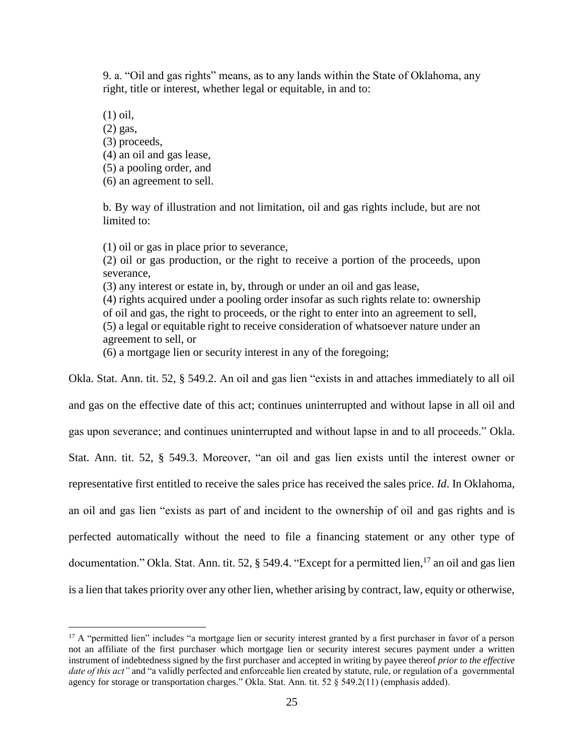9. a. "Oil and gas rights" means, as to any lands within the State of Oklahoma, any right, title or interest, whether legal or equitable, in and to:

(1) oil, (2) gas, (3) proceeds, (4) an oil and gas lease, (5) a pooling order, and (6) an agreement to sell.

 $\overline{a}$ 

b. By way of illustration and not limitation, oil and gas rights include, but are not limited to:

(1) oil or gas in place prior to severance,

(2) oil or gas production, or the right to receive a portion of the proceeds, upon severance,

(3) any interest or estate in, by, through or under an oil and gas lease,

(4) rights acquired under a pooling order insofar as such rights relate to: ownership of oil and gas, the right to proceeds, or the right to enter into an agreement to sell, (5) a legal or equitable right to receive consideration of whatsoever nature under an agreement to sell, or

(6) a mortgage lien or security interest in any of the foregoing;

Okla. Stat. Ann. tit. 52, § 549.2. An oil and gas lien "exists in and attaches immediately to all oil and gas on the effective date of this act; continues uninterrupted and without lapse in all oil and gas upon severance; and continues uninterrupted and without lapse in and to all proceeds." Okla. Stat. Ann. tit. 52, § 549.3. Moreover, "an oil and gas lien exists until the interest owner or representative first entitled to receive the sales price has received the sales price. *Id*. In Oklahoma, an oil and gas lien "exists as part of and incident to the ownership of oil and gas rights and is perfected automatically without the need to file a financing statement or any other type of documentation." Okla. Stat. Ann. tit. 52,  $\S$  549.4. "Except for a permitted lien,<sup>17</sup> an oil and gas lien is a lien that takes priority over any other lien, whether arising by contract, law, equity or otherwise,

<sup>&</sup>lt;sup>17</sup> A "permitted lien" includes "a mortgage lien or security interest granted by a first purchaser in favor of a person not an affiliate of the first purchaser which mortgage lien or security interest secures payment under a written instrument of indebtedness signed by the first purchaser and accepted in writing by payee thereof *prior to the effective date of this act"* and "a validly perfected and enforceable lien created by statute, rule, or regulation of a governmental agency for storage or transportation charges." Okla. Stat. Ann. tit. 52 § 549.2(11) (emphasis added).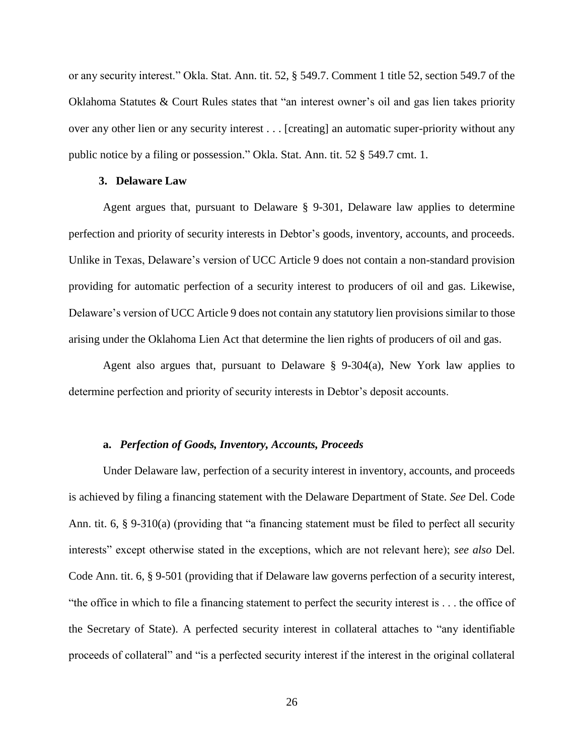or any security interest." Okla. Stat. Ann. tit. 52, § 549.7. Comment 1 title 52, section 549.7 of the Oklahoma Statutes & Court Rules states that "an interest owner's oil and gas lien takes priority over any other lien or any security interest . . . [creating] an automatic super-priority without any public notice by a filing or possession." Okla. Stat. Ann. tit. 52 § 549.7 cmt. 1.

### **3. Delaware Law**

Agent argues that, pursuant to Delaware § 9-301, Delaware law applies to determine perfection and priority of security interests in Debtor's goods, inventory, accounts, and proceeds. Unlike in Texas, Delaware's version of UCC Article 9 does not contain a non-standard provision providing for automatic perfection of a security interest to producers of oil and gas. Likewise, Delaware's version of UCC Article 9 does not contain any statutory lien provisions similar to those arising under the Oklahoma Lien Act that determine the lien rights of producers of oil and gas.

Agent also argues that, pursuant to Delaware  $\S$  9-304(a), New York law applies to determine perfection and priority of security interests in Debtor's deposit accounts.

### **a.** *Perfection of Goods, Inventory, Accounts, Proceeds*

Under Delaware law, perfection of a security interest in inventory, accounts, and proceeds is achieved by filing a financing statement with the Delaware Department of State. *See* Del. Code Ann. tit. 6, § 9-310(a) (providing that "a financing statement must be filed to perfect all security interests" except otherwise stated in the exceptions, which are not relevant here); *see also* Del. Code Ann. tit. 6, § 9-501 (providing that if Delaware law governs perfection of a security interest, "the office in which to file a financing statement to perfect the security interest is . . . the office of the Secretary of State). A perfected security interest in collateral attaches to "any identifiable proceeds of collateral" and "is a perfected security interest if the interest in the original collateral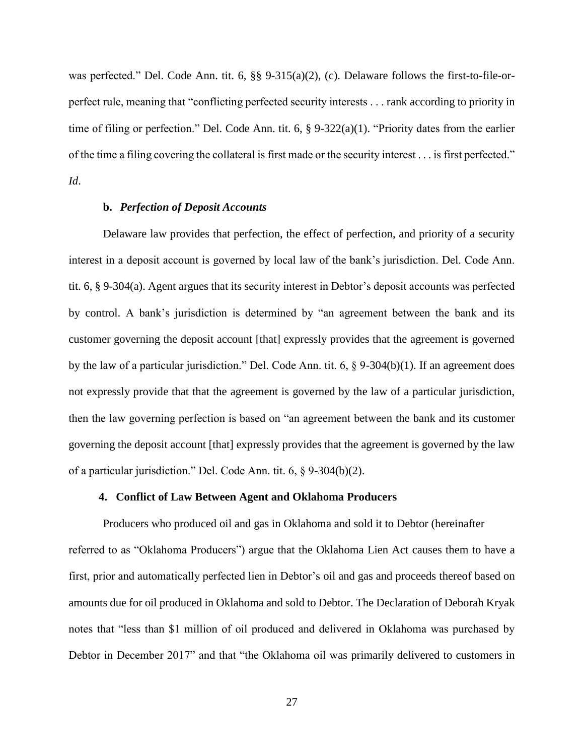was perfected." Del. Code Ann. tit. 6, §§ 9-315(a)(2), (c). Delaware follows the first-to-file-orperfect rule, meaning that "conflicting perfected security interests . . . rank according to priority in time of filing or perfection." Del. Code Ann. tit. 6, § 9-322(a)(1). "Priority dates from the earlier of the time a filing covering the collateral is first made or the security interest . . . is first perfected." *Id*.

### **b.** *Perfection of Deposit Accounts*

Delaware law provides that perfection, the effect of perfection, and priority of a security interest in a deposit account is governed by local law of the bank's jurisdiction. Del. Code Ann. tit. 6, § 9-304(a). Agent argues that its security interest in Debtor's deposit accounts was perfected by control. A bank's jurisdiction is determined by "an agreement between the bank and its customer governing the deposit account [that] expressly provides that the agreement is governed by the law of a particular jurisdiction." Del. Code Ann. tit. 6, § 9-304(b)(1). If an agreement does not expressly provide that that the agreement is governed by the law of a particular jurisdiction, then the law governing perfection is based on "an agreement between the bank and its customer governing the deposit account [that] expressly provides that the agreement is governed by the law of a particular jurisdiction." Del. Code Ann. tit. 6, § 9-304(b)(2).

## **4. Conflict of Law Between Agent and Oklahoma Producers**

Producers who produced oil and gas in Oklahoma and sold it to Debtor (hereinafter referred to as "Oklahoma Producers") argue that the Oklahoma Lien Act causes them to have a first, prior and automatically perfected lien in Debtor's oil and gas and proceeds thereof based on amounts due for oil produced in Oklahoma and sold to Debtor. The Declaration of Deborah Kryak notes that "less than \$1 million of oil produced and delivered in Oklahoma was purchased by Debtor in December 2017" and that "the Oklahoma oil was primarily delivered to customers in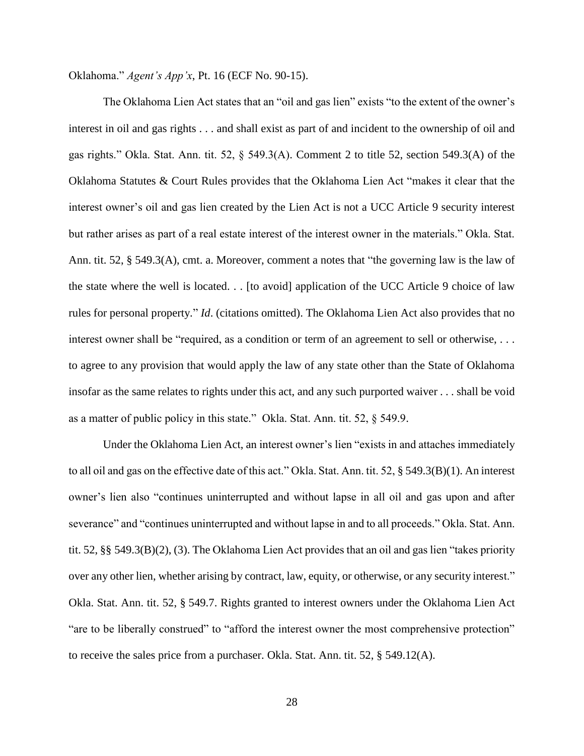Oklahoma." *Agent's App'x*, Pt. 16 (ECF No. 90-15).

The Oklahoma Lien Act states that an "oil and gas lien" exists "to the extent of the owner's interest in oil and gas rights . . . and shall exist as part of and incident to the ownership of oil and gas rights." Okla. Stat. Ann. tit. 52, § 549.3(A). Comment 2 to title 52, section 549.3(A) of the Oklahoma Statutes & Court Rules provides that the Oklahoma Lien Act "makes it clear that the interest owner's oil and gas lien created by the Lien Act is not a UCC Article 9 security interest but rather arises as part of a real estate interest of the interest owner in the materials." Okla. Stat. Ann. tit. 52, § 549.3(A), cmt. a. Moreover, comment a notes that "the governing law is the law of the state where the well is located. . . [to avoid] application of the UCC Article 9 choice of law rules for personal property." *Id*. (citations omitted). The Oklahoma Lien Act also provides that no interest owner shall be "required, as a condition or term of an agreement to sell or otherwise, ... to agree to any provision that would apply the law of any state other than the State of Oklahoma insofar as the same relates to rights under this act, and any such purported waiver . . . shall be void as a matter of public policy in this state." Okla. Stat. Ann. tit. 52, § 549.9.

Under the Oklahoma Lien Act, an interest owner's lien "exists in and attaches immediately to all oil and gas on the effective date of this act." Okla. Stat. Ann. tit. 52, § 549.3(B)(1). An interest owner's lien also "continues uninterrupted and without lapse in all oil and gas upon and after severance" and "continues uninterrupted and without lapse in and to all proceeds." Okla. Stat. Ann. tit. 52, §§ 549.3(B)(2), (3). The Oklahoma Lien Act provides that an oil and gas lien "takes priority over any other lien, whether arising by contract, law, equity, or otherwise, or any security interest." Okla. Stat. Ann. tit. 52, § 549.7. Rights granted to interest owners under the Oklahoma Lien Act "are to be liberally construed" to "afford the interest owner the most comprehensive protection" to receive the sales price from a purchaser. Okla. Stat. Ann. tit. 52, § 549.12(A).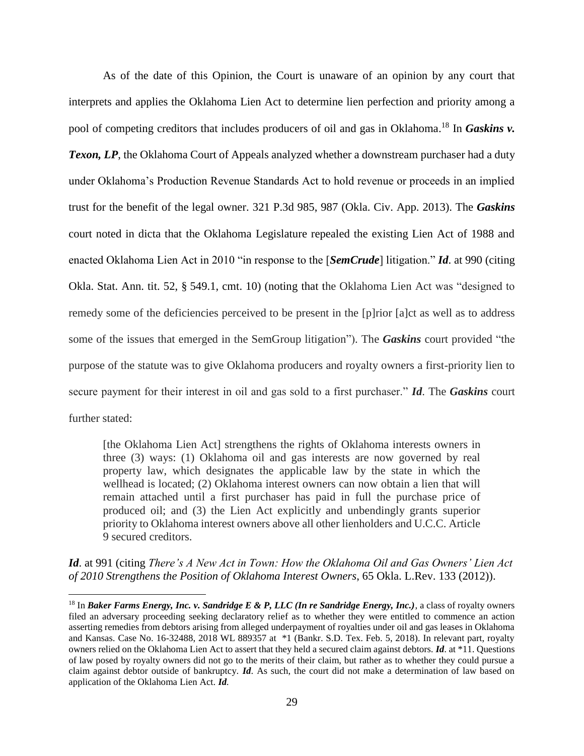As of the date of this Opinion, the Court is unaware of an opinion by any court that interprets and applies the Oklahoma Lien Act to determine lien perfection and priority among a pool of competing creditors that includes producers of oil and gas in Oklahoma.<sup>18</sup> In *Gaskins v. Texon, LP*, the Oklahoma Court of Appeals analyzed whether a downstream purchaser had a duty under Oklahoma's Production Revenue Standards Act to hold revenue or proceeds in an implied trust for the benefit of the legal owner. 321 P.3d 985, 987 (Okla. Civ. App. 2013). The *Gaskins* court noted in dicta that the Oklahoma Legislature repealed the existing Lien Act of 1988 and enacted Oklahoma Lien Act in 2010 "in response to the [*SemCrude*] litigation." *Id*. at 990 (citing Okla. Stat. Ann. tit. 52, § 549.1, cmt. 10) (noting that the Oklahoma Lien Act was "designed to remedy some of the deficiencies perceived to be present in the [p]rior [a]ct as well as to address some of the issues that emerged in the SemGroup litigation"). The *Gaskins* court provided "the purpose of the statute was to give Oklahoma producers and royalty owners a first-priority lien to secure payment for their interest in oil and gas sold to a first purchaser." *Id*. The *Gaskins* court further stated:

[the Oklahoma Lien Act] strengthens the rights of Oklahoma interests owners in three (3) ways: (1) Oklahoma oil and gas interests are now governed by real property law, which designates the applicable law by the state in which the wellhead is located; (2) Oklahoma interest owners can now obtain a lien that will remain attached until a first purchaser has paid in full the purchase price of produced oil; and (3) the Lien Act explicitly and unbendingly grants superior priority to Oklahoma interest owners above all other lienholders and U.C.C. Article 9 secured creditors.

*Id*. at 991 (citing *There's A New Act in Town: How the Oklahoma Oil and Gas Owners' Lien Act of 2010 Strengthens the Position of Oklahoma Interest Owners*, 65 Okla. L.Rev. 133 (2012)).

<sup>&</sup>lt;sup>18</sup> In *Baker Farms Energy, Inc. v. Sandridge E & P, LLC (In re Sandridge Energy, Inc.)*, a class of royalty owners filed an adversary proceeding seeking declaratory relief as to whether they were entitled to commence an action asserting remedies from debtors arising from alleged underpayment of royalties under oil and gas leases in Oklahoma and Kansas. Case No. 16-32488, 2018 WL 889357 at \*1 (Bankr. S.D. Tex. Feb. 5, 2018). In relevant part, royalty owners relied on the Oklahoma Lien Act to assert that they held a secured claim against debtors. *Id*. at \*11. Questions of law posed by royalty owners did not go to the merits of their claim, but rather as to whether they could pursue a claim against debtor outside of bankruptcy. *Id*. As such, the court did not make a determination of law based on application of the Oklahoma Lien Act. *Id.*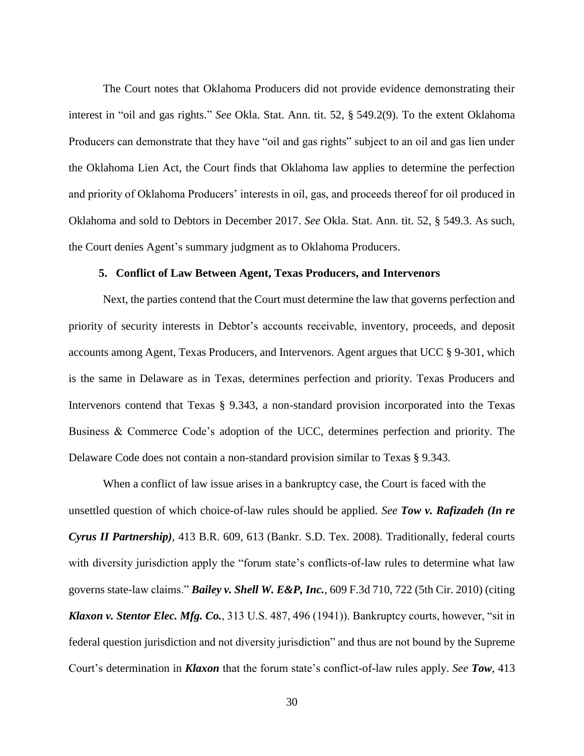The Court notes that Oklahoma Producers did not provide evidence demonstrating their interest in "oil and gas rights." *See* Okla. Stat. Ann. tit. 52, § 549.2(9). To the extent Oklahoma Producers can demonstrate that they have "oil and gas rights" subject to an oil and gas lien under the Oklahoma Lien Act, the Court finds that Oklahoma law applies to determine the perfection and priority of Oklahoma Producers' interests in oil, gas, and proceeds thereof for oil produced in Oklahoma and sold to Debtors in December 2017. *See* Okla. Stat. Ann. tit. 52, § 549.3. As such, the Court denies Agent's summary judgment as to Oklahoma Producers.

### **5. Conflict of Law Between Agent, Texas Producers, and Intervenors**

Next, the parties contend that the Court must determine the law that governs perfection and priority of security interests in Debtor's accounts receivable, inventory, proceeds, and deposit accounts among Agent, Texas Producers, and Intervenors. Agent argues that UCC § 9-301, which is the same in Delaware as in Texas, determines perfection and priority. Texas Producers and Intervenors contend that Texas § 9.343, a non-standard provision incorporated into the Texas Business & Commerce Code's adoption of the UCC, determines perfection and priority. The Delaware Code does not contain a non-standard provision similar to Texas § 9.343.

When a conflict of law issue arises in a bankruptcy case, the Court is faced with the unsettled question of which choice-of-law rules should be applied. *See Tow v. Rafizadeh (In re Cyrus II Partnership)*, 413 B.R. 609, 613 (Bankr. S.D. Tex. 2008). Traditionally, federal courts with diversity jurisdiction apply the "forum state's conflicts-of-law rules to determine what law governs state-law claims." *Bailey v. Shell W. E&P, Inc.*, 609 F.3d 710, 722 (5th Cir. 2010) (citing *Klaxon v. Stentor Elec. Mfg. Co.*, 313 U.S. 487, 496 (1941)). Bankruptcy courts, however, "sit in federal question jurisdiction and not diversity jurisdiction" and thus are not bound by the Supreme Court's determination in *Klaxon* that the forum state's conflict-of-law rules apply. *See Tow*, 413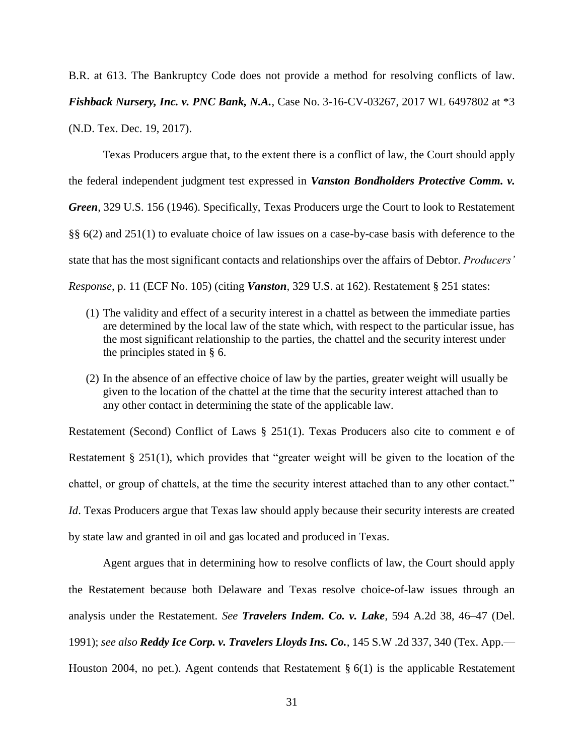B.R. at 613. The Bankruptcy Code does not provide a method for resolving conflicts of law. *Fishback Nursery, Inc. v. PNC Bank, N.A., Case No.* 3-16-CV-03267, 2017 WL 6497802 at \*3 (N.D. Tex. Dec. 19, 2017).

Texas Producers argue that, to the extent there is a conflict of law, the Court should apply the federal independent judgment test expressed in *Vanston Bondholders Protective Comm. v. Green*, 329 U.S. 156 (1946). Specifically, Texas Producers urge the Court to look to Restatement §§ 6(2) and 251(1) to evaluate choice of law issues on a case-by-case basis with deference to the state that has the most significant contacts and relationships over the affairs of Debtor. *Producers' Response*, p. 11 (ECF No. 105) (citing *Vanston*, 329 U.S. at 162). Restatement § 251 states:

- (1) The validity and effect of a security interest in a chattel as between the immediate parties are determined by the local law of the state which, with respect to the particular issue, has the most significant relationship to the parties, the chattel and the security interest under the principles stated in § 6.
- (2) In the absence of an effective choice of law by the parties, greater weight will usually be given to the location of the chattel at the time that the security interest attached than to any other contact in determining the state of the applicable law.

Restatement (Second) Conflict of Laws § 251(1). Texas Producers also cite to comment e of Restatement § 251(1), which provides that "greater weight will be given to the location of the chattel, or group of chattels, at the time the security interest attached than to any other contact." *Id*. Texas Producers argue that Texas law should apply because their security interests are created by state law and granted in oil and gas located and produced in Texas.

Agent argues that in determining how to resolve conflicts of law, the Court should apply the Restatement because both Delaware and Texas resolve choice-of-law issues through an analysis under the Restatement. *See Travelers Indem. Co. v. Lake*, 594 A.2d 38, 46–47 (Del. 1991); *see also Reddy Ice Corp. v. Travelers Lloyds Ins. Co.*, 145 S.W .2d 337, 340 (Tex. App.— Houston 2004, no pet.). Agent contends that Restatement § 6(1) is the applicable Restatement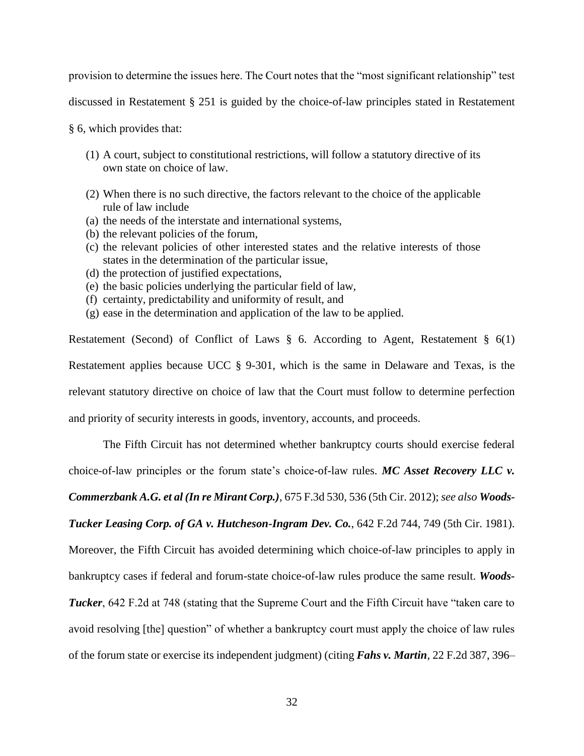provision to determine the issues here. The Court notes that the "most significant relationship" test

discussed in Restatement § 251 is guided by the choice-of-law principles stated in Restatement

§ 6, which provides that:

- (1) A court, subject to constitutional restrictions, will follow a statutory directive of its own state on choice of law.
- (2) When there is no such directive, the factors relevant to the choice of the applicable rule of law include
- (a) the needs of the interstate and international systems,
- (b) the relevant policies of the forum,
- (c) the relevant policies of other interested states and the relative interests of those states in the determination of the particular issue,
- (d) the protection of justified expectations,
- (e) the basic policies underlying the particular field of law,
- (f) certainty, predictability and uniformity of result, and
- (g) ease in the determination and application of the law to be applied.

Restatement (Second) of Conflict of Laws § 6. According to Agent, Restatement § 6(1) Restatement applies because UCC § 9-301, which is the same in Delaware and Texas, is the relevant statutory directive on choice of law that the Court must follow to determine perfection and priority of security interests in goods, inventory, accounts, and proceeds.

The Fifth Circuit has not determined whether bankruptcy courts should exercise federal

choice-of-law principles or the forum state's choice-of-law rules. *MC Asset Recovery LLC v.* 

*Commerzbank A.G. et al (In re Mirant Corp.)*, 675 F.3d 530, 536 (5th Cir. 2012); *see also Woods-*

*Tucker Leasing Corp. of GA v. Hutcheson-Ingram Dev. Co.*, 642 F.2d 744, 749 (5th Cir. 1981).

Moreover, the Fifth Circuit has avoided determining which choice-of-law principles to apply in

bankruptcy cases if federal and forum-state choice-of-law rules produce the same result. *Woods-*

*Tucker*, 642 F.2d at 748 (stating that the Supreme Court and the Fifth Circuit have "taken care to

avoid resolving [the] question" of whether a bankruptcy court must apply the choice of law rules

of the forum state or exercise its independent judgment) (citing *Fahs v. Martin*, 22 F.2d 387, 396–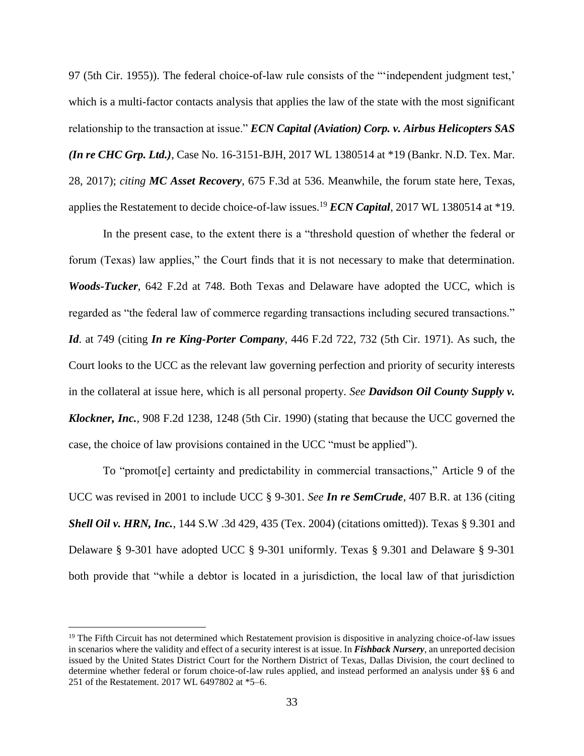97 (5th Cir. 1955)). The federal choice-of-law rule consists of the "'independent judgment test,' which is a multi-factor contacts analysis that applies the law of the state with the most significant relationship to the transaction at issue." *ECN Capital (Aviation) Corp. v. Airbus Helicopters SAS (In re CHC Grp. Ltd.)*, Case No. 16-3151-BJH, 2017 WL 1380514 at \*19 (Bankr. N.D. Tex. Mar. 28, 2017); *citing MC Asset Recovery*, 675 F.3d at 536. Meanwhile, the forum state here, Texas, applies the Restatement to decide choice-of-law issues.<sup>19</sup> *ECN Capital*, 2017 WL 1380514 at \*19.

In the present case, to the extent there is a "threshold question of whether the federal or forum (Texas) law applies," the Court finds that it is not necessary to make that determination. *Woods-Tucker*, 642 F.2d at 748. Both Texas and Delaware have adopted the UCC, which is regarded as "the federal law of commerce regarding transactions including secured transactions." *Id*. at 749 (citing *In re King-Porter Company*, 446 F.2d 722, 732 (5th Cir. 1971). As such, the Court looks to the UCC as the relevant law governing perfection and priority of security interests in the collateral at issue here, which is all personal property. *See Davidson Oil County Supply v. Klockner, Inc.*, 908 F.2d 1238, 1248 (5th Cir. 1990) (stating that because the UCC governed the case, the choice of law provisions contained in the UCC "must be applied").

To "promot[e] certainty and predictability in commercial transactions," Article 9 of the UCC was revised in 2001 to include UCC § 9-301. *See In re SemCrude*, 407 B.R. at 136 (citing *Shell Oil v. HRN, Inc.*, 144 S.W .3d 429, 435 (Tex. 2004) (citations omitted)). Texas § 9.301 and Delaware § 9-301 have adopted UCC § 9-301 uniformly. Texas § 9.301 and Delaware § 9-301 both provide that "while a debtor is located in a jurisdiction, the local law of that jurisdiction

<sup>&</sup>lt;sup>19</sup> The Fifth Circuit has not determined which Restatement provision is dispositive in analyzing choice-of-law issues in scenarios where the validity and effect of a security interest is at issue. In *Fishback Nursery*, an unreported decision issued by the United States District Court for the Northern District of Texas, Dallas Division, the court declined to determine whether federal or forum choice-of-law rules applied, and instead performed an analysis under §§ 6 and 251 of the Restatement. 2017 WL 6497802 at \*5–6.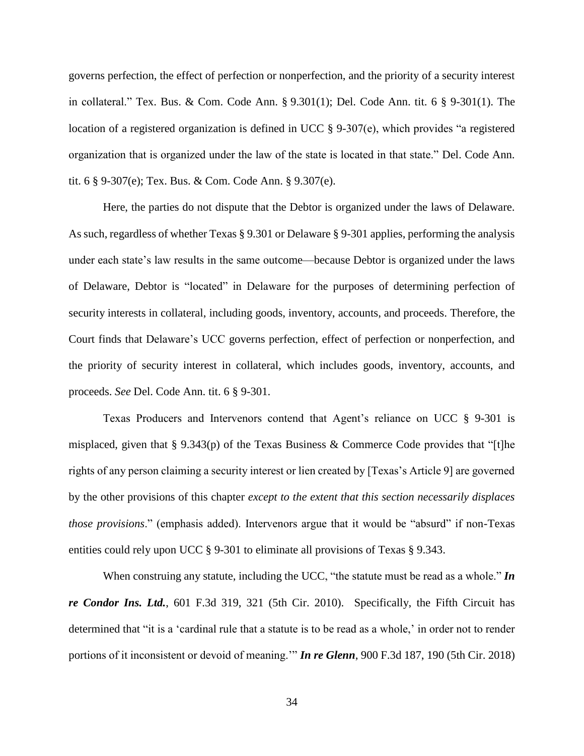governs perfection, the effect of perfection or nonperfection, and the priority of a security interest in collateral." Tex. Bus. & Com. Code Ann. § 9.301(1); Del. Code Ann. tit. 6 § 9-301(1). The location of a registered organization is defined in UCC § 9-307(e), which provides "a registered organization that is organized under the law of the state is located in that state." Del. Code Ann. tit. 6 § 9-307(e); Tex. Bus. & Com. Code Ann. § 9.307(e).

Here, the parties do not dispute that the Debtor is organized under the laws of Delaware. As such, regardless of whether Texas § 9.301 or Delaware § 9-301 applies, performing the analysis under each state's law results in the same outcome—because Debtor is organized under the laws of Delaware, Debtor is "located" in Delaware for the purposes of determining perfection of security interests in collateral, including goods, inventory, accounts, and proceeds. Therefore, the Court finds that Delaware's UCC governs perfection, effect of perfection or nonperfection, and the priority of security interest in collateral, which includes goods, inventory, accounts, and proceeds. *See* Del. Code Ann. tit. 6 § 9-301.

Texas Producers and Intervenors contend that Agent's reliance on UCC § 9-301 is misplaced, given that § 9.343(p) of the Texas Business & Commerce Code provides that "[t]he rights of any person claiming a security interest or lien created by [Texas's Article 9] are governed by the other provisions of this chapter *except to the extent that this section necessarily displaces those provisions*." (emphasis added). Intervenors argue that it would be "absurd" if non-Texas entities could rely upon UCC § 9-301 to eliminate all provisions of Texas § 9.343.

When construing any statute, including the UCC, "the statute must be read as a whole." *In re Condor Ins. Ltd.*, 601 F.3d 319, 321 (5th Cir. 2010). Specifically, the Fifth Circuit has determined that "it is a 'cardinal rule that a statute is to be read as a whole,' in order not to render portions of it inconsistent or devoid of meaning.'" *In re Glenn*, 900 F.3d 187, 190 (5th Cir. 2018)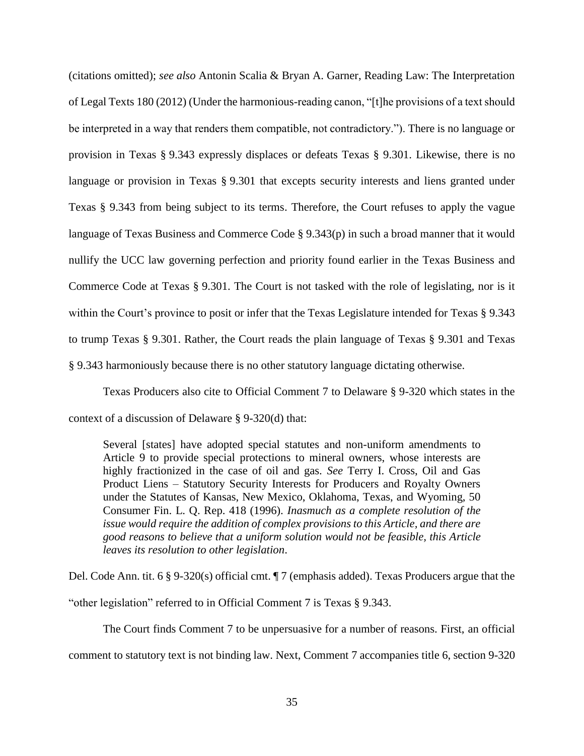(citations omitted); *see also* Antonin Scalia & Bryan A. Garner, Reading Law: The Interpretation of Legal Texts 180 (2012) (Under the harmonious-reading canon, "[t]he provisions of a text should be interpreted in a way that renders them compatible, not contradictory."). There is no language or provision in Texas § 9.343 expressly displaces or defeats Texas § 9.301. Likewise, there is no language or provision in Texas § 9.301 that excepts security interests and liens granted under Texas § 9.343 from being subject to its terms. Therefore, the Court refuses to apply the vague language of Texas Business and Commerce Code § 9.343(p) in such a broad manner that it would nullify the UCC law governing perfection and priority found earlier in the Texas Business and Commerce Code at Texas § 9.301. The Court is not tasked with the role of legislating, nor is it within the Court's province to posit or infer that the Texas Legislature intended for Texas § 9.343 to trump Texas § 9.301. Rather, the Court reads the plain language of Texas § 9.301 and Texas § 9.343 harmoniously because there is no other statutory language dictating otherwise.

Texas Producers also cite to Official Comment 7 to Delaware § 9-320 which states in the context of a discussion of Delaware § 9-320(d) that:

Several [states] have adopted special statutes and non-uniform amendments to Article 9 to provide special protections to mineral owners, whose interests are highly fractionized in the case of oil and gas. *See* Terry I. Cross, Oil and Gas Product Liens – Statutory Security Interests for Producers and Royalty Owners under the Statutes of Kansas, New Mexico, Oklahoma, Texas, and Wyoming, 50 Consumer Fin. L. Q. Rep. 418 (1996). *Inasmuch as a complete resolution of the issue would require the addition of complex provisions to this Article, and there are good reasons to believe that a uniform solution would not be feasible, this Article leaves its resolution to other legislation*.

Del. Code Ann. tit. 6 § 9-320(s) official cmt. ¶ 7 (emphasis added). Texas Producers argue that the "other legislation" referred to in Official Comment 7 is Texas § 9.343.

The Court finds Comment 7 to be unpersuasive for a number of reasons. First, an official comment to statutory text is not binding law. Next, Comment 7 accompanies title 6, section 9-320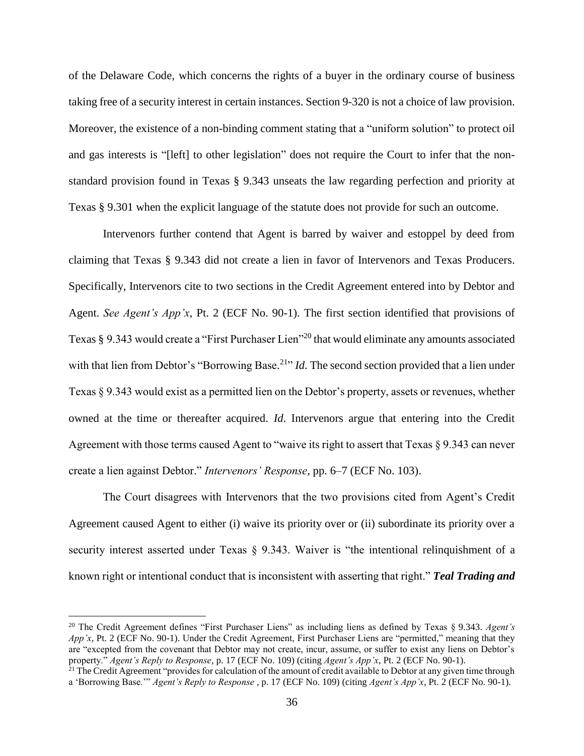of the Delaware Code, which concerns the rights of a buyer in the ordinary course of business taking free of a security interest in certain instances. Section 9-320 is not a choice of law provision. Moreover, the existence of a non-binding comment stating that a "uniform solution" to protect oil and gas interests is "[left] to other legislation" does not require the Court to infer that the nonstandard provision found in Texas § 9.343 unseats the law regarding perfection and priority at Texas § 9.301 when the explicit language of the statute does not provide for such an outcome.

Intervenors further contend that Agent is barred by waiver and estoppel by deed from claiming that Texas § 9.343 did not create a lien in favor of Intervenors and Texas Producers. Specifically, Intervenors cite to two sections in the Credit Agreement entered into by Debtor and Agent. *See Agent's App'x*, Pt. 2 (ECF No. 90-1). The first section identified that provisions of Texas § 9.343 would create a "First Purchaser Lien"<sup>20</sup> that would eliminate any amounts associated with that lien from Debtor's "Borrowing Base.<sup>21</sup>" *Id*. The second section provided that a lien under Texas § 9.343 would exist as a permitted lien on the Debtor's property, assets or revenues, whether owned at the time or thereafter acquired. *Id*. Intervenors argue that entering into the Credit Agreement with those terms caused Agent to "waive its right to assert that Texas § 9.343 can never create a lien against Debtor." *Intervenors' Response*, pp. 6–7 (ECF No. 103).

The Court disagrees with Intervenors that the two provisions cited from Agent's Credit Agreement caused Agent to either (i) waive its priority over or (ii) subordinate its priority over a security interest asserted under Texas  $\S$  9.343. Waiver is "the intentional relinquishment of a known right or intentional conduct that is inconsistent with asserting that right." *Teal Trading and* 

<sup>20</sup> The Credit Agreement defines "First Purchaser Liens" as including liens as defined by Texas § 9.343. *Agent's App'x*, Pt. 2 (ECF No. 90-1). Under the Credit Agreement, First Purchaser Liens are "permitted," meaning that they are "excepted from the covenant that Debtor may not create, incur, assume, or suffer to exist any liens on Debtor's property." *Agent's Reply to Response*, p. 17 (ECF No. 109) (citing *Agent's App'x*, Pt. 2 (ECF No. 90-1).

<sup>&</sup>lt;sup>21</sup> The Credit Agreement "provides for calculation of the amount of credit available to Debtor at any given time through a 'Borrowing Base.'" *Agent's Reply to Response* , p. 17 (ECF No. 109) (citing *Agent's App'x*, Pt. 2 (ECF No. 90-1).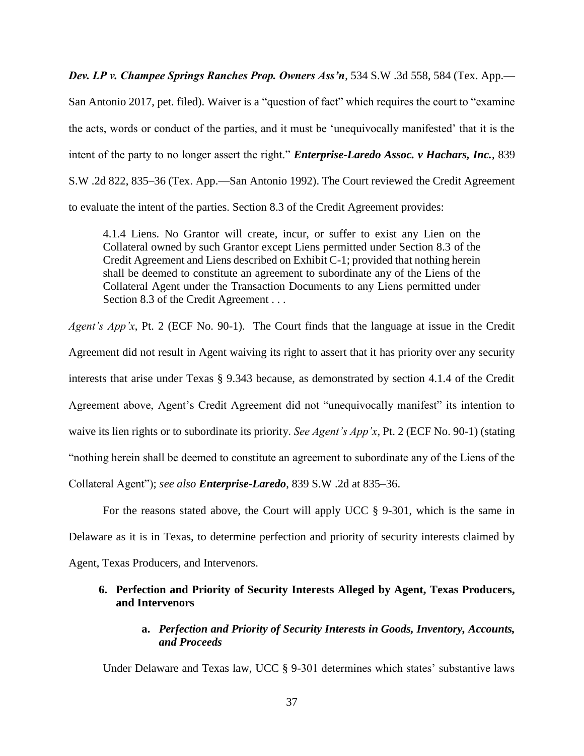*Dev. LP v. Champee Springs Ranches Prop. Owners Ass'n*, 534 S.W .3d 558, 584 (Tex. App.—

San Antonio 2017, pet. filed). Waiver is a "question of fact" which requires the court to "examine the acts, words or conduct of the parties, and it must be 'unequivocally manifested' that it is the intent of the party to no longer assert the right." *Enterprise-Laredo Assoc. v Hachars, Inc.*, 839 S.W .2d 822, 835–36 (Tex. App.—San Antonio 1992). The Court reviewed the Credit Agreement to evaluate the intent of the parties. Section 8.3 of the Credit Agreement provides:

4.1.4 Liens. No Grantor will create, incur, or suffer to exist any Lien on the Collateral owned by such Grantor except Liens permitted under Section 8.3 of the Credit Agreement and Liens described on Exhibit C-1; provided that nothing herein shall be deemed to constitute an agreement to subordinate any of the Liens of the Collateral Agent under the Transaction Documents to any Liens permitted under Section 8.3 of the Credit Agreement . . .

*Agent's App'x*, Pt. 2 (ECF No. 90-1). The Court finds that the language at issue in the Credit Agreement did not result in Agent waiving its right to assert that it has priority over any security interests that arise under Texas § 9.343 because, as demonstrated by section 4.1.4 of the Credit Agreement above, Agent's Credit Agreement did not "unequivocally manifest" its intention to waive its lien rights or to subordinate its priority. *See Agent's App'x*, Pt. 2 (ECF No. 90-1) (stating "nothing herein shall be deemed to constitute an agreement to subordinate any of the Liens of the Collateral Agent"); *see also Enterprise-Laredo*, 839 S.W .2d at 835–36.

For the reasons stated above, the Court will apply UCC § 9-301, which is the same in Delaware as it is in Texas, to determine perfection and priority of security interests claimed by Agent, Texas Producers, and Intervenors.

# **6. Perfection and Priority of Security Interests Alleged by Agent, Texas Producers, and Intervenors**

# **a.** *Perfection and Priority of Security Interests in Goods, Inventory, Accounts, and Proceeds*

Under Delaware and Texas law, UCC § 9-301 determines which states' substantive laws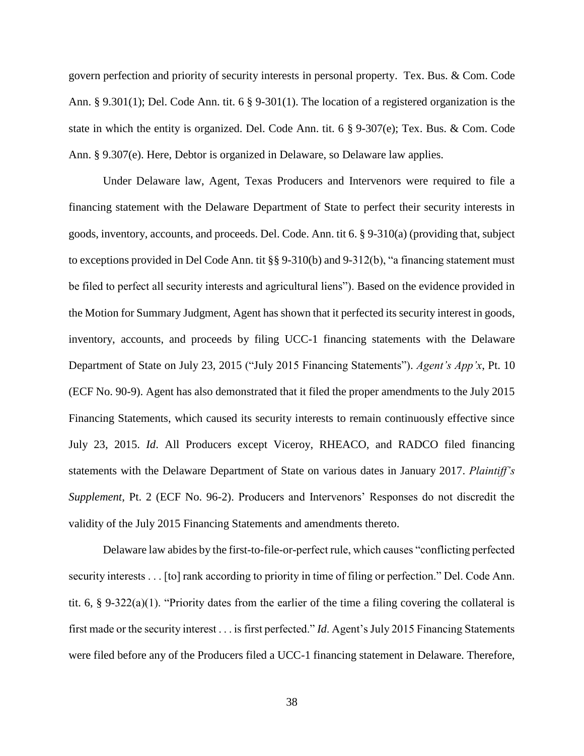govern perfection and priority of security interests in personal property. Tex. Bus. & Com. Code Ann. § 9.301(1); Del. Code Ann. tit. 6 § 9-301(1). The location of a registered organization is the state in which the entity is organized. Del. Code Ann. tit. 6 § 9-307(e); Tex. Bus. & Com. Code Ann. § 9.307(e). Here, Debtor is organized in Delaware, so Delaware law applies.

Under Delaware law, Agent, Texas Producers and Intervenors were required to file a financing statement with the Delaware Department of State to perfect their security interests in goods, inventory, accounts, and proceeds. Del. Code. Ann. tit 6. § 9-310(a) (providing that, subject to exceptions provided in Del Code Ann. tit §§ 9-310(b) and 9-312(b), "a financing statement must be filed to perfect all security interests and agricultural liens"). Based on the evidence provided in the Motion for Summary Judgment, Agent has shown that it perfected its security interest in goods, inventory, accounts, and proceeds by filing UCC-1 financing statements with the Delaware Department of State on July 23, 2015 ("July 2015 Financing Statements"). *Agent's App'x*, Pt. 10 (ECF No. 90-9). Agent has also demonstrated that it filed the proper amendments to the July 2015 Financing Statements, which caused its security interests to remain continuously effective since July 23, 2015. *Id*. All Producers except Viceroy, RHEACO, and RADCO filed financing statements with the Delaware Department of State on various dates in January 2017. *Plaintiff's Supplement*, Pt. 2 (ECF No. 96-2). Producers and Intervenors' Responses do not discredit the validity of the July 2015 Financing Statements and amendments thereto.

Delaware law abides by the first-to-file-or-perfect rule, which causes "conflicting perfected security interests . . . [to] rank according to priority in time of filing or perfection." Del. Code Ann. tit. 6, § 9-322(a)(1). "Priority dates from the earlier of the time a filing covering the collateral is first made or the security interest . . . is first perfected." *Id*. Agent's July 2015 Financing Statements were filed before any of the Producers filed a UCC-1 financing statement in Delaware. Therefore,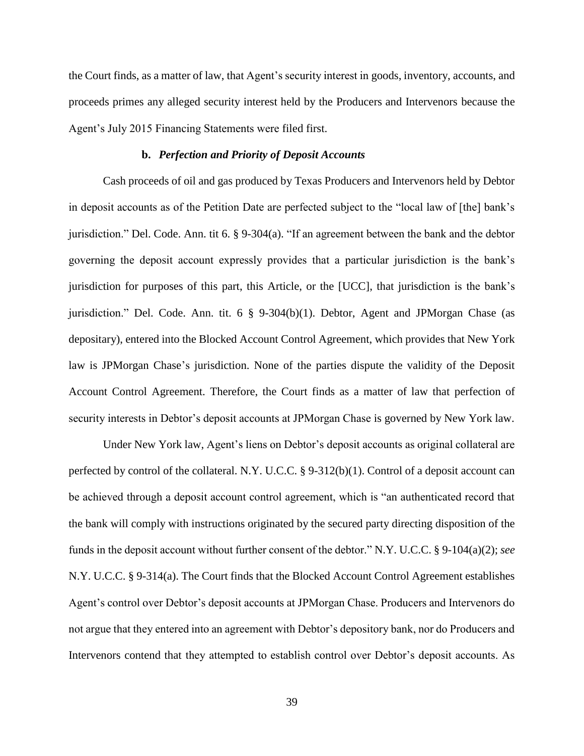the Court finds, as a matter of law, that Agent's security interest in goods, inventory, accounts, and proceeds primes any alleged security interest held by the Producers and Intervenors because the Agent's July 2015 Financing Statements were filed first.

# **b.** *Perfection and Priority of Deposit Accounts*

Cash proceeds of oil and gas produced by Texas Producers and Intervenors held by Debtor in deposit accounts as of the Petition Date are perfected subject to the "local law of [the] bank's jurisdiction." Del. Code. Ann. tit 6. § 9-304(a). "If an agreement between the bank and the debtor governing the deposit account expressly provides that a particular jurisdiction is the bank's jurisdiction for purposes of this part, this Article, or the [UCC], that jurisdiction is the bank's jurisdiction." Del. Code. Ann. tit.  $6 \& 9-304(b)(1)$ . Debtor, Agent and JPMorgan Chase (as depositary), entered into the Blocked Account Control Agreement, which provides that New York law is JPMorgan Chase's jurisdiction. None of the parties dispute the validity of the Deposit Account Control Agreement. Therefore, the Court finds as a matter of law that perfection of security interests in Debtor's deposit accounts at JPMorgan Chase is governed by New York law.

Under New York law, Agent's liens on Debtor's deposit accounts as original collateral are perfected by control of the collateral. N.Y. U.C.C. § 9-312(b)(1). Control of a deposit account can be achieved through a deposit account control agreement, which is "an authenticated record that the bank will comply with instructions originated by the secured party directing disposition of the funds in the deposit account without further consent of the debtor." N.Y. U.C.C. § 9-104(a)(2); *see*  N.Y. U.C.C. § 9-314(a). The Court finds that the Blocked Account Control Agreement establishes Agent's control over Debtor's deposit accounts at JPMorgan Chase. Producers and Intervenors do not argue that they entered into an agreement with Debtor's depository bank, nor do Producers and Intervenors contend that they attempted to establish control over Debtor's deposit accounts. As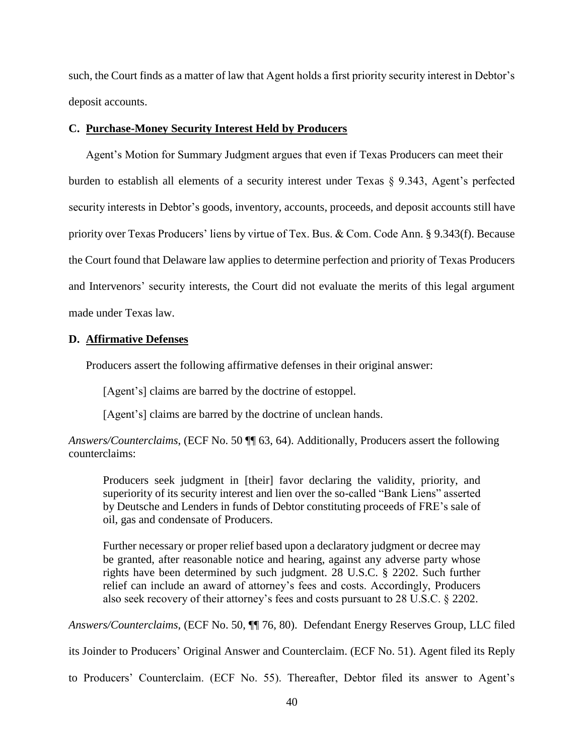such, the Court finds as a matter of law that Agent holds a first priority security interest in Debtor's deposit accounts.

## **C. Purchase-Money Security Interest Held by Producers**

Agent's Motion for Summary Judgment argues that even if Texas Producers can meet their burden to establish all elements of a security interest under Texas § 9.343, Agent's perfected security interests in Debtor's goods, inventory, accounts, proceeds, and deposit accounts still have priority over Texas Producers' liens by virtue of Tex. Bus. & Com. Code Ann. § 9.343(f). Because the Court found that Delaware law applies to determine perfection and priority of Texas Producers and Intervenors' security interests, the Court did not evaluate the merits of this legal argument made under Texas law.

## **D. Affirmative Defenses**

Producers assert the following affirmative defenses in their original answer:

[Agent's] claims are barred by the doctrine of estoppel.

[Agent's] claims are barred by the doctrine of unclean hands.

*Answers/Counterclaims*, (ECF No. 50 ¶¶ 63, 64). Additionally, Producers assert the following counterclaims:

Producers seek judgment in [their] favor declaring the validity, priority, and superiority of its security interest and lien over the so-called "Bank Liens" asserted by Deutsche and Lenders in funds of Debtor constituting proceeds of FRE's sale of oil, gas and condensate of Producers.

Further necessary or proper relief based upon a declaratory judgment or decree may be granted, after reasonable notice and hearing, against any adverse party whose rights have been determined by such judgment. 28 U.S.C. § 2202. Such further relief can include an award of attorney's fees and costs. Accordingly, Producers also seek recovery of their attorney's fees and costs pursuant to 28 U.S.C. § 2202.

*Answers/Counterclaims*, (ECF No. 50, ¶¶ 76, 80). Defendant Energy Reserves Group, LLC filed

its Joinder to Producers' Original Answer and Counterclaim. (ECF No. 51). Agent filed its Reply

to Producers' Counterclaim. (ECF No. 55). Thereafter, Debtor filed its answer to Agent's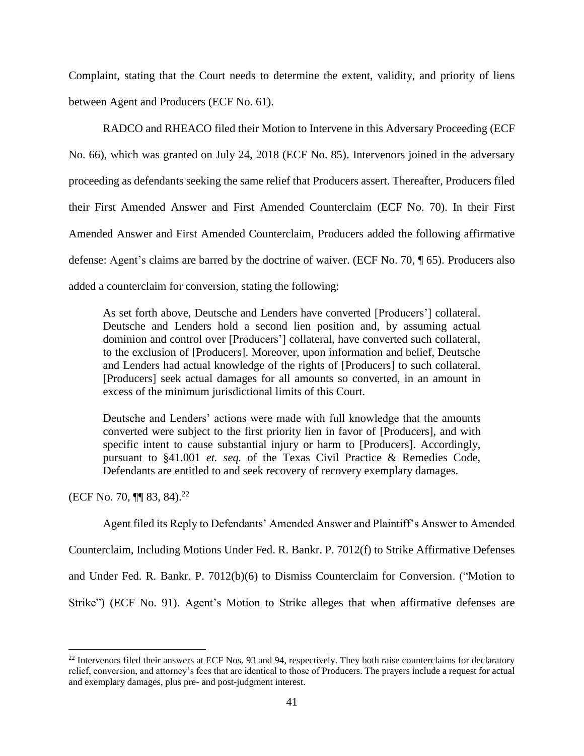Complaint, stating that the Court needs to determine the extent, validity, and priority of liens between Agent and Producers (ECF No. 61).

RADCO and RHEACO filed their Motion to Intervene in this Adversary Proceeding (ECF No. 66), which was granted on July 24, 2018 (ECF No. 85). Intervenors joined in the adversary proceeding as defendants seeking the same relief that Producers assert. Thereafter, Producers filed their First Amended Answer and First Amended Counterclaim (ECF No. 70). In their First Amended Answer and First Amended Counterclaim, Producers added the following affirmative defense: Agent's claims are barred by the doctrine of waiver. (ECF No. 70, ¶ 65). Producers also added a counterclaim for conversion, stating the following:

As set forth above, Deutsche and Lenders have converted [Producers'] collateral. Deutsche and Lenders hold a second lien position and, by assuming actual dominion and control over [Producers'] collateral, have converted such collateral, to the exclusion of [Producers]. Moreover, upon information and belief, Deutsche and Lenders had actual knowledge of the rights of [Producers] to such collateral. [Producers] seek actual damages for all amounts so converted, in an amount in excess of the minimum jurisdictional limits of this Court.

Deutsche and Lenders' actions were made with full knowledge that the amounts converted were subject to the first priority lien in favor of [Producers], and with specific intent to cause substantial injury or harm to [Producers]. Accordingly, pursuant to §41.001 *et. seq.* of the Texas Civil Practice & Remedies Code, Defendants are entitled to and seek recovery of recovery exemplary damages.

(ECF No. 70,  $\P\P$  83, 84).<sup>22</sup>

 $\overline{a}$ 

Agent filed its Reply to Defendants' Amended Answer and Plaintiff's Answer to Amended Counterclaim, Including Motions Under Fed. R. Bankr. P. 7012(f) to Strike Affirmative Defenses and Under Fed. R. Bankr. P. 7012(b)(6) to Dismiss Counterclaim for Conversion. ("Motion to Strike") (ECF No. 91). Agent's Motion to Strike alleges that when affirmative defenses are

<sup>&</sup>lt;sup>22</sup> Intervenors filed their answers at ECF Nos. 93 and 94, respectively. They both raise counterclaims for declaratory relief, conversion, and attorney's fees that are identical to those of Producers. The prayers include a request for actual and exemplary damages, plus pre- and post-judgment interest.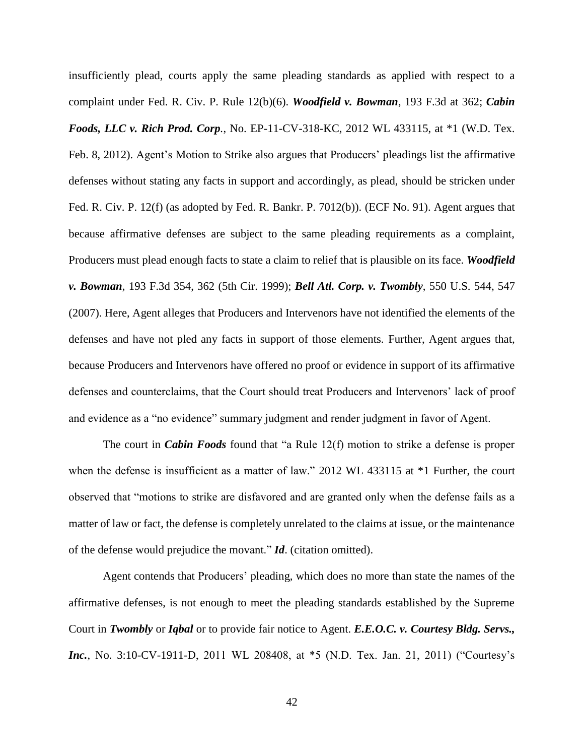insufficiently plead, courts apply the same pleading standards as applied with respect to a complaint under Fed. R. Civ. P. Rule 12(b)(6). *Woodfield v. Bowman*, 193 F.3d at 362; *Cabin Foods, LLC v. Rich Prod. Corp.*, No. EP-11-CV-318-KC, 2012 WL 433115, at \*1 (W.D. Tex. Feb. 8, 2012). Agent's Motion to Strike also argues that Producers' pleadings list the affirmative defenses without stating any facts in support and accordingly, as plead, should be stricken under Fed. R. Civ. P. 12(f) (as adopted by Fed. R. Bankr. P. 7012(b)). (ECF No. 91). Agent argues that because affirmative defenses are subject to the same pleading requirements as a complaint, Producers must plead enough facts to state a claim to relief that is plausible on its face. *Woodfield v. Bowman*, 193 F.3d 354, 362 (5th Cir. 1999); *Bell Atl. Corp. v. Twombly*, 550 U.S. 544, 547 (2007). Here, Agent alleges that Producers and Intervenors have not identified the elements of the defenses and have not pled any facts in support of those elements. Further, Agent argues that, because Producers and Intervenors have offered no proof or evidence in support of its affirmative defenses and counterclaims, that the Court should treat Producers and Intervenors' lack of proof and evidence as a "no evidence" summary judgment and render judgment in favor of Agent.

The court in *Cabin Foods* found that "a Rule 12(f) motion to strike a defense is proper when the defense is insufficient as a matter of law." 2012 WL 433115 at \*1 Further, the court observed that "motions to strike are disfavored and are granted only when the defense fails as a matter of law or fact, the defense is completely unrelated to the claims at issue, or the maintenance of the defense would prejudice the movant." *Id*. (citation omitted).

Agent contends that Producers' pleading, which does no more than state the names of the affirmative defenses, is not enough to meet the pleading standards established by the Supreme Court in *Twombly* or *Iqbal* or to provide fair notice to Agent. *E.E.O.C. v. Courtesy Bldg. Servs., Inc.*, No. 3:10-CV-1911-D, 2011 WL 208408, at \*5 (N.D. Tex. Jan. 21, 2011) ("Courtesy's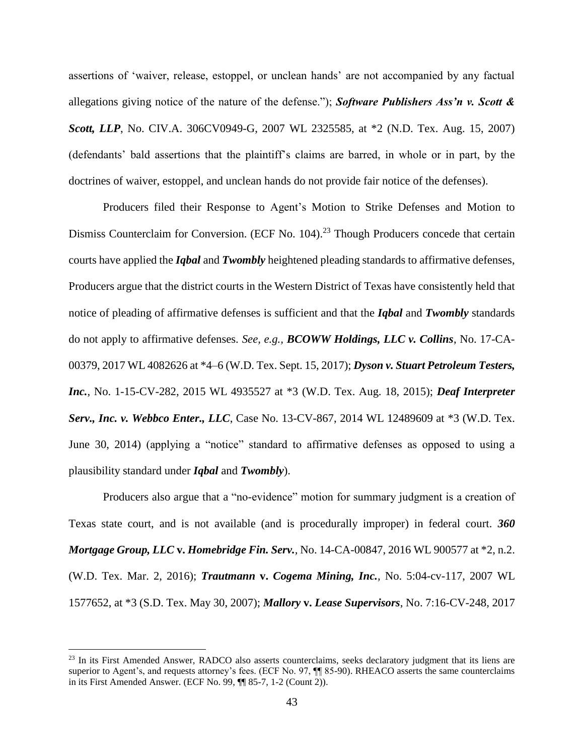assertions of 'waiver, release, estoppel, or unclean hands' are not accompanied by any factual allegations giving notice of the nature of the defense."); *Software Publishers Ass'n v. Scott & Scott, LLP*, No. CIV.A. 306CV0949-G, 2007 WL 2325585, at \*2 (N.D. Tex. Aug. 15, 2007) (defendants' bald assertions that the plaintiff's claims are barred, in whole or in part, by the doctrines of waiver, estoppel, and unclean hands do not provide fair notice of the defenses).

Producers filed their Response to Agent's Motion to Strike Defenses and Motion to Dismiss Counterclaim for Conversion. (ECF No. 104).<sup>23</sup> Though Producers concede that certain courts have applied the *Iqbal* and *Twombly* heightened pleading standards to affirmative defenses, Producers argue that the district courts in the Western District of Texas have consistently held that notice of pleading of affirmative defenses is sufficient and that the *Iqbal* and *Twombly* standards do not apply to affirmative defenses. *See, e.g., BCOWW Holdings, LLC v. Collins*, No. 17-CA-00379, 2017 WL 4082626 at \*4–6 (W.D. Tex. Sept. 15, 2017); *Dyson v. Stuart Petroleum Testers, Inc.*, No. 1-15-CV-282, 2015 WL 4935527 at \*3 (W.D. Tex. Aug. 18, 2015); *Deaf Interpreter Serv., Inc. v. Webbco Enter., LLC*, Case No. 13-CV-867, 2014 WL 12489609 at \*3 (W.D. Tex. June 30, 2014) (applying a "notice" standard to affirmative defenses as opposed to using a plausibility standard under *Iqbal* and *Twombly*).

Producers also argue that a "no-evidence" motion for summary judgment is a creation of Texas state court, and is not available (and is procedurally improper) in federal court. *360 Mortgage Group, LLC* **v.** *Homebridge Fin. Serv.,* No. 14-CA-00847, 2016 WL 900577 at \*2, n.2. (W.D. Tex. Mar. 2, 2016); *Trautmann* **v.** *Cogema Mining, Inc.,* No. 5:04-cv-117, 2007 WL 1577652, at \*3 (S.D. Tex. May 30, 2007); *Mallory* **v.** *Lease Supervisors*, No. 7:16-CV-248, 2017

<sup>&</sup>lt;sup>23</sup> In its First Amended Answer, RADCO also asserts counterclaims, seeks declaratory judgment that its liens are superior to Agent's, and requests attorney's fees. (ECF No. 97,  $\P$  85-90). RHEACO asserts the same counterclaims in its First Amended Answer. (ECF No. 99, ¶¶ 85-7, 1-2 (Count 2)).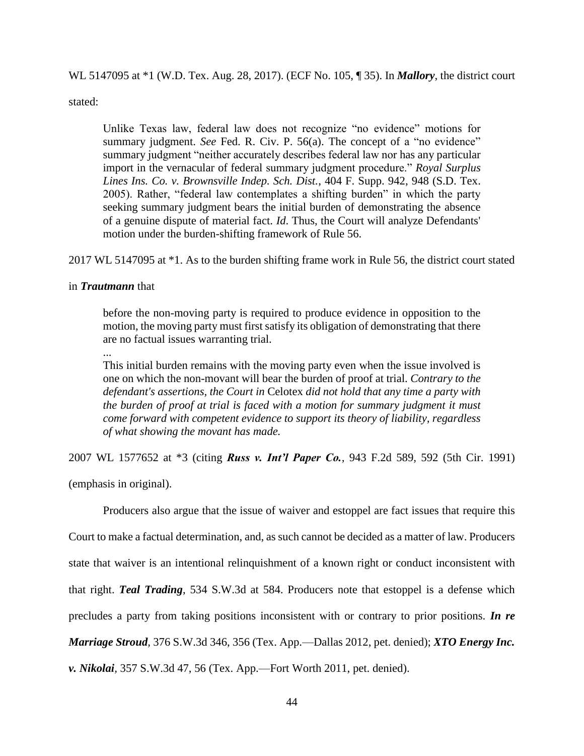WL 5147095 at \*1 (W.D. Tex. Aug. 28, 2017). (ECF No. 105, ¶ 35). In *Mallory*, the district court

stated:

Unlike Texas law, federal law does not recognize "no evidence" motions for summary judgment. *See* Fed. R. Civ. P. 56(a). The concept of a "no evidence" summary judgment "neither accurately describes federal law nor has any particular import in the vernacular of federal summary judgment procedure." *Royal Surplus Lines Ins. Co. v. Brownsville Indep. Sch. Dist.*, 404 F. Supp. 942, 948 (S.D. Tex. 2005). Rather, "federal law contemplates a shifting burden" in which the party seeking summary judgment bears the initial burden of demonstrating the absence of a genuine dispute of material fact. *Id*. Thus, the Court will analyze Defendants' motion under the burden-shifting framework of Rule 56.

2017 WL 5147095 at \*1. As to the burden shifting frame work in Rule 56, the district court stated

## in *Trautmann* that

before the non-moving party is required to produce evidence in opposition to the motion, the moving party must first satisfy its obligation of demonstrating that there are no factual issues warranting trial.

...

This initial burden remains with the moving party even when the issue involved is one on which the non-movant will bear the burden of proof at trial. *Contrary to the defendant's assertions, the Court in* Celotex *did not hold that any time a party with the burden of proof at trial is faced with a motion for summary judgment it must come forward with competent evidence to support its theory of liability, regardless of what showing the movant has made.*

2007 WL 1577652 at \*3 (citing *Russ v. Int'l Paper Co.,* 943 F.2d 589, 592 (5th Cir. 1991)

(emphasis in original).

Producers also argue that the issue of waiver and estoppel are fact issues that require this Court to make a factual determination, and, as such cannot be decided as a matter of law. Producers state that waiver is an intentional relinquishment of a known right or conduct inconsistent with that right. *Teal Trading*, 534 S.W.3d at 584. Producers note that estoppel is a defense which precludes a party from taking positions inconsistent with or contrary to prior positions. *In re Marriage Stroud,* 376 S.W.3d 346, 356 (Tex. App.—Dallas 2012, pet. denied); *XTO Energy Inc. v. Nikolai,* 357 S.W.3d 47, 56 (Tex. App.—Fort Worth 2011, pet. denied).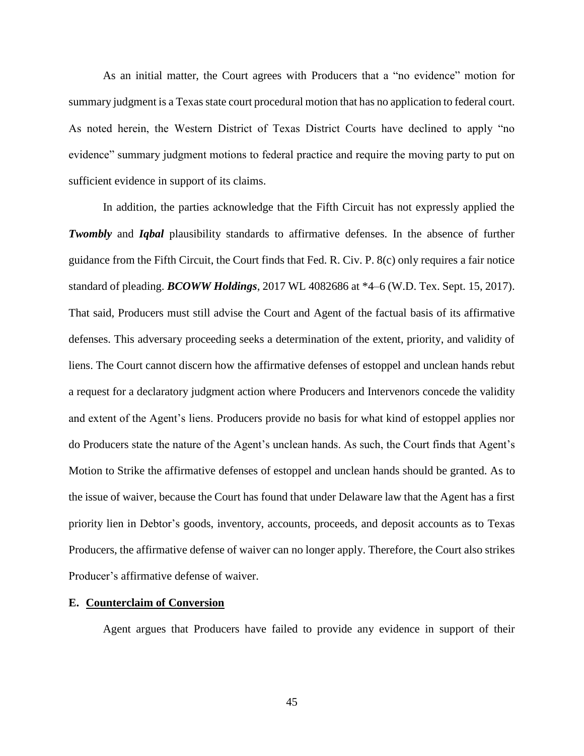As an initial matter, the Court agrees with Producers that a "no evidence" motion for summary judgment is a Texas state court procedural motion that has no application to federal court. As noted herein, the Western District of Texas District Courts have declined to apply "no evidence" summary judgment motions to federal practice and require the moving party to put on sufficient evidence in support of its claims.

In addition, the parties acknowledge that the Fifth Circuit has not expressly applied the *Twombly* and *Iqbal* plausibility standards to affirmative defenses. In the absence of further guidance from the Fifth Circuit, the Court finds that Fed. R. Civ. P. 8(c) only requires a fair notice standard of pleading. *BCOWW Holdings*, 2017 WL 4082686 at \*4–6 (W.D. Tex. Sept. 15, 2017). That said, Producers must still advise the Court and Agent of the factual basis of its affirmative defenses. This adversary proceeding seeks a determination of the extent, priority, and validity of liens. The Court cannot discern how the affirmative defenses of estoppel and unclean hands rebut a request for a declaratory judgment action where Producers and Intervenors concede the validity and extent of the Agent's liens. Producers provide no basis for what kind of estoppel applies nor do Producers state the nature of the Agent's unclean hands. As such, the Court finds that Agent's Motion to Strike the affirmative defenses of estoppel and unclean hands should be granted. As to the issue of waiver, because the Court has found that under Delaware law that the Agent has a first priority lien in Debtor's goods, inventory, accounts, proceeds, and deposit accounts as to Texas Producers, the affirmative defense of waiver can no longer apply. Therefore, the Court also strikes Producer's affirmative defense of waiver.

### **E. Counterclaim of Conversion**

Agent argues that Producers have failed to provide any evidence in support of their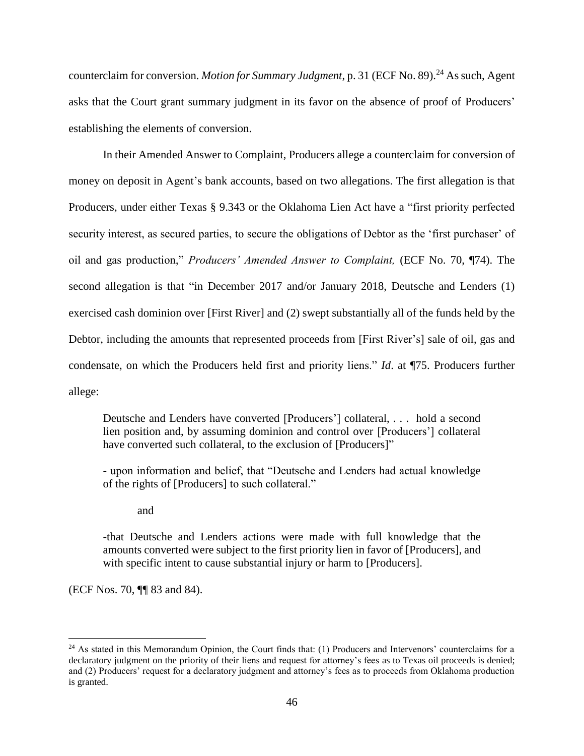counterclaim for conversion. *Motion for Summary Judgment*, p. 31 (ECF No. 89).<sup>24</sup> As such, Agent asks that the Court grant summary judgment in its favor on the absence of proof of Producers' establishing the elements of conversion.

In their Amended Answer to Complaint, Producers allege a counterclaim for conversion of money on deposit in Agent's bank accounts, based on two allegations. The first allegation is that Producers, under either Texas § 9.343 or the Oklahoma Lien Act have a "first priority perfected security interest, as secured parties, to secure the obligations of Debtor as the 'first purchaser' of oil and gas production," *Producers' Amended Answer to Complaint,* (ECF No. 70, ¶74). The second allegation is that "in December 2017 and/or January 2018, Deutsche and Lenders (1) exercised cash dominion over [First River] and (2) swept substantially all of the funds held by the Debtor, including the amounts that represented proceeds from [First River's] sale of oil, gas and condensate, on which the Producers held first and priority liens." *Id*. at ¶75. Producers further allege:

Deutsche and Lenders have converted [Producers'] collateral, . . . hold a second lien position and, by assuming dominion and control over [Producers'] collateral have converted such collateral, to the exclusion of [Producers]"

- upon information and belief, that "Deutsche and Lenders had actual knowledge of the rights of [Producers] to such collateral."

and

-that Deutsche and Lenders actions were made with full knowledge that the amounts converted were subject to the first priority lien in favor of [Producers], and with specific intent to cause substantial injury or harm to [Producers].

(ECF Nos. 70, ¶¶ 83 and 84).

 $^{24}$  As stated in this Memorandum Opinion, the Court finds that: (1) Producers and Intervenors' counterclaims for a declaratory judgment on the priority of their liens and request for attorney's fees as to Texas oil proceeds is denied; and (2) Producers' request for a declaratory judgment and attorney's fees as to proceeds from Oklahoma production is granted.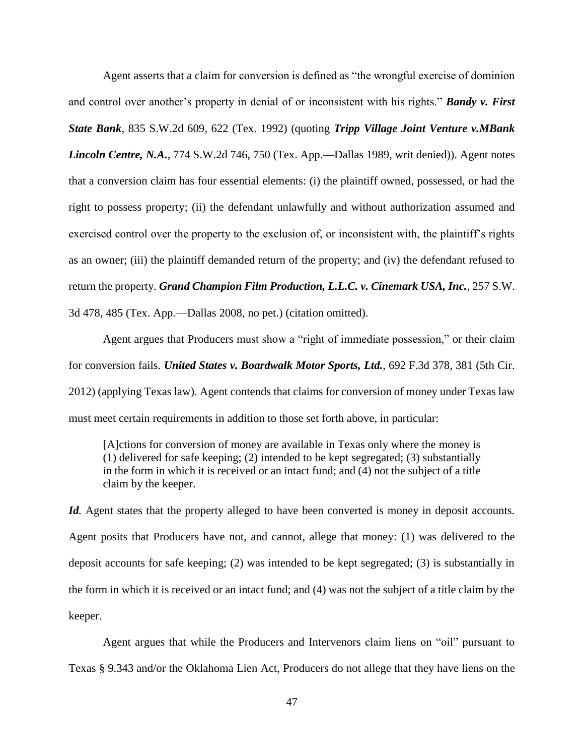Agent asserts that a claim for conversion is defined as "the wrongful exercise of dominion and control over another's property in denial of or inconsistent with his rights." *Bandy v. First State Bank*, 835 S.W.2d 609, 622 (Tex. 1992) (quoting *Tripp Village Joint Venture v.MBank Lincoln Centre, N.A.*, 774 S.W.2d 746, 750 (Tex. App.—Dallas 1989, writ denied)). Agent notes that a conversion claim has four essential elements: (i) the plaintiff owned, possessed, or had the right to possess property; (ii) the defendant unlawfully and without authorization assumed and exercised control over the property to the exclusion of, or inconsistent with, the plaintiff's rights as an owner; (iii) the plaintiff demanded return of the property; and (iv) the defendant refused to return the property. *Grand Champion Film Production, L.L.C. v. Cinemark USA, Inc.*, 257 S.W. 3d 478, 485 (Tex. App.—Dallas 2008, no pet.) (citation omitted).

Agent argues that Producers must show a "right of immediate possession," or their claim for conversion fails. *United States v. Boardwalk Motor Sports, Ltd.*, 692 F.3d 378, 381 (5th Cir. 2012) (applying Texas law). Agent contends that claims for conversion of money under Texas law must meet certain requirements in addition to those set forth above, in particular:

[A]ctions for conversion of money are available in Texas only where the money is (1) delivered for safe keeping; (2) intended to be kept segregated; (3) substantially in the form in which it is received or an intact fund; and (4) not the subject of a title claim by the keeper.

*Id.* Agent states that the property alleged to have been converted is money in deposit accounts. Agent posits that Producers have not, and cannot, allege that money: (1) was delivered to the deposit accounts for safe keeping; (2) was intended to be kept segregated; (3) is substantially in the form in which it is received or an intact fund; and (4) was not the subject of a title claim by the keeper.

Agent argues that while the Producers and Intervenors claim liens on "oil" pursuant to Texas § 9.343 and/or the Oklahoma Lien Act, Producers do not allege that they have liens on the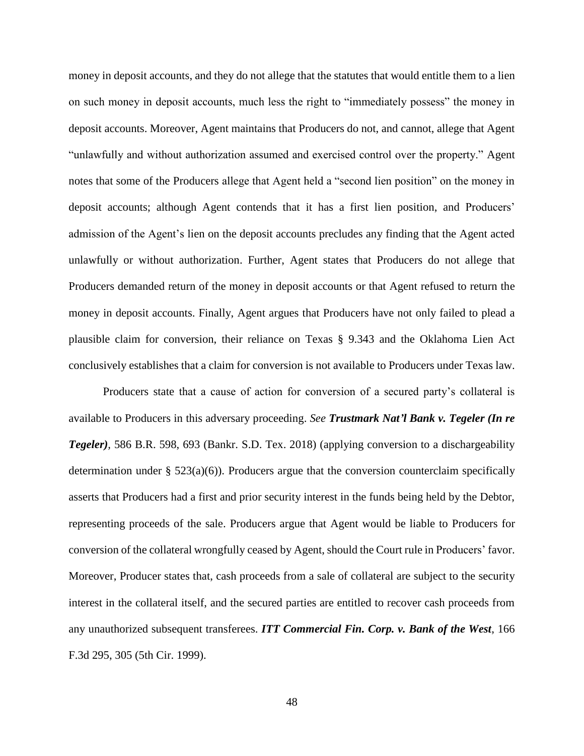money in deposit accounts, and they do not allege that the statutes that would entitle them to a lien on such money in deposit accounts, much less the right to "immediately possess" the money in deposit accounts. Moreover, Agent maintains that Producers do not, and cannot, allege that Agent "unlawfully and without authorization assumed and exercised control over the property." Agent notes that some of the Producers allege that Agent held a "second lien position" on the money in deposit accounts; although Agent contends that it has a first lien position, and Producers' admission of the Agent's lien on the deposit accounts precludes any finding that the Agent acted unlawfully or without authorization. Further, Agent states that Producers do not allege that Producers demanded return of the money in deposit accounts or that Agent refused to return the money in deposit accounts. Finally, Agent argues that Producers have not only failed to plead a plausible claim for conversion, their reliance on Texas § 9.343 and the Oklahoma Lien Act conclusively establishes that a claim for conversion is not available to Producers under Texas law.

Producers state that a cause of action for conversion of a secured party's collateral is available to Producers in this adversary proceeding. *See Trustmark Nat'l Bank v. Tegeler (In re Tegeler),* 586 B.R. 598, 693 (Bankr. S.D. Tex. 2018) (applying conversion to a dischargeability determination under  $\S$  523(a)(6)). Producers argue that the conversion counterclaim specifically asserts that Producers had a first and prior security interest in the funds being held by the Debtor, representing proceeds of the sale. Producers argue that Agent would be liable to Producers for conversion of the collateral wrongfully ceased by Agent, should the Court rule in Producers' favor. Moreover, Producer states that, cash proceeds from a sale of collateral are subject to the security interest in the collateral itself, and the secured parties are entitled to recover cash proceeds from any unauthorized subsequent transferees. *ITT Commercial Fin. Corp. v. Bank of the West*, 166 F.3d 295, 305 (5th Cir. 1999).